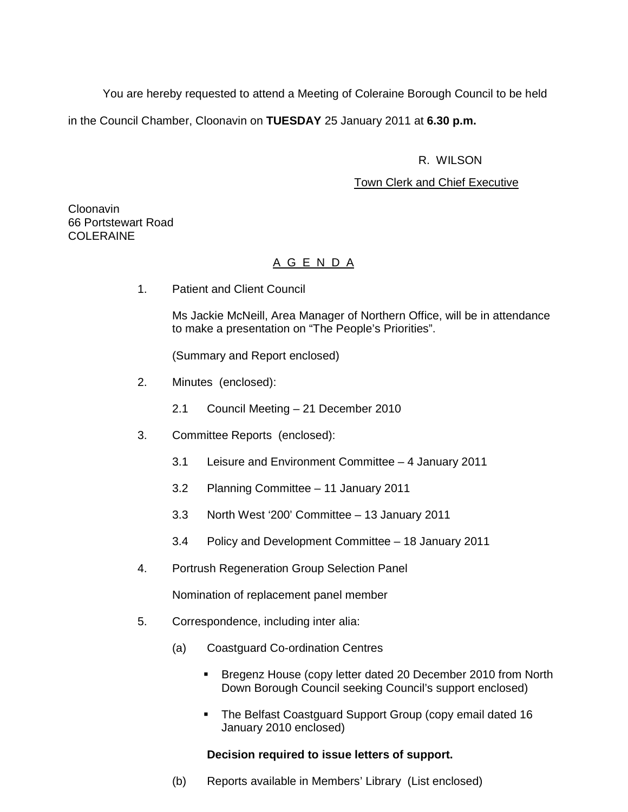You are hereby requested to attend a Meeting of Coleraine Borough Council to be held

in the Council Chamber, Cloonavin on **TUESDAY** 25 January 2011 at **6.30 p.m.** 

# R. WILSON

# Town Clerk and Chief Executive

Cloonavin 66 Portstewart Road COLERAINE

# A G E N D A

1. Patient and Client Council

Ms Jackie McNeill, Area Manager of Northern Office, will be in attendance to make a presentation on "The People's Priorities".

(Summary and Report enclosed)

- 2. Minutes (enclosed):
	- 2.1 Council Meeting 21 December 2010
- 3. Committee Reports (enclosed):
	- 3.1 Leisure and Environment Committee 4 January 2011
	- 3.2 Planning Committee 11 January 2011
	- 3.3 North West '200' Committee 13 January 2011
	- 3.4 Policy and Development Committee 18 January 2011
- 4. Portrush Regeneration Group Selection Panel

Nomination of replacement panel member

- 5. Correspondence, including inter alia:
	- (a) Coastguard Co-ordination Centres
		- Bregenz House (copy letter dated 20 December 2010 from North Down Borough Council seeking Council's support enclosed)
		- The Belfast Coastguard Support Group (copy email dated 16 January 2010 enclosed)

## **Decision required to issue letters of support.**

(b) Reports available in Members' Library (List enclosed)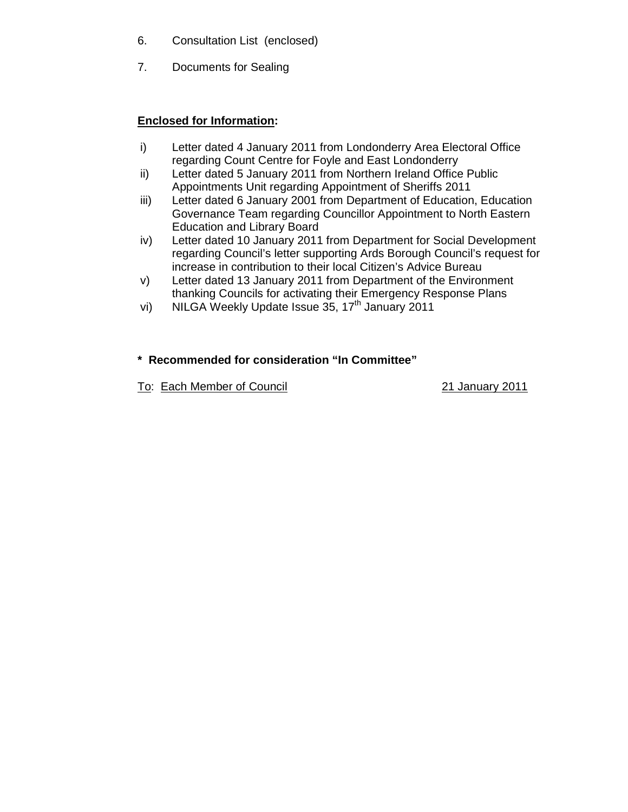- 6. Consultation List (enclosed)
- 7. Documents for Sealing

# **Enclosed for Information:**

- i) Letter dated 4 January 2011 from Londonderry Area Electoral Office regarding Count Centre for Foyle and East Londonderry
- ii) Letter dated 5 January 2011 from Northern Ireland Office Public Appointments Unit regarding Appointment of Sheriffs 2011
- iii) Letter dated 6 January 2001 from Department of Education, Education Governance Team regarding Councillor Appointment to North Eastern Education and Library Board
- iv) Letter dated 10 January 2011 from Department for Social Development regarding Council's letter supporting Ards Borough Council's request for increase in contribution to their local Citizen's Advice Bureau
- v) Letter dated 13 January 2011 from Department of the Environment thanking Councils for activating their Emergency Response Plans
- vi) NILGA Weekly Update Issue  $35, 17<sup>th</sup>$  January 2011

# **\* Recommended for consideration "In Committee"**

To: Each Member of Council 21 January 2011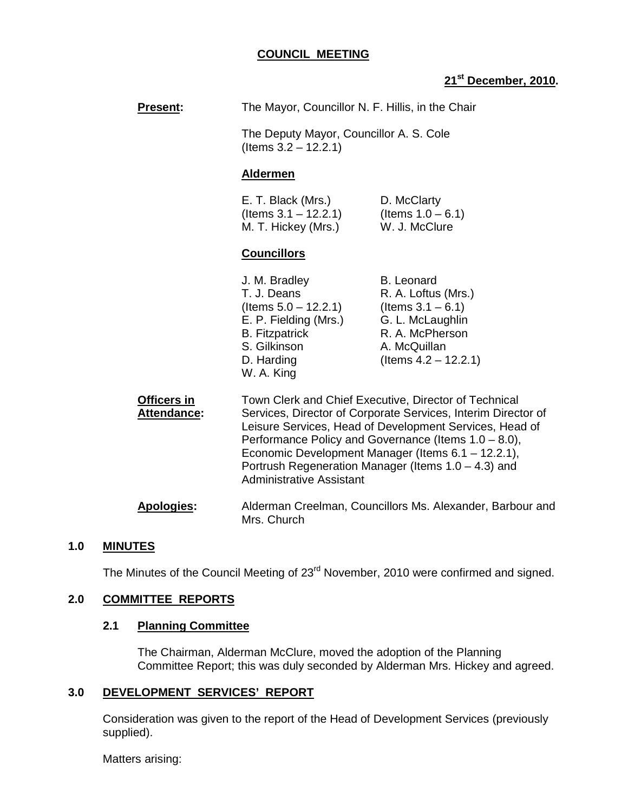## **COUNCIL MEETING**

# **21st December, 2010.**

| <b>Present:</b>                   | The Mayor, Councillor N. F. Hillis, in the Chair                                                                                                                                                                                                                                                                                                                                             |                                                                                                                                                    |  |
|-----------------------------------|----------------------------------------------------------------------------------------------------------------------------------------------------------------------------------------------------------------------------------------------------------------------------------------------------------------------------------------------------------------------------------------------|----------------------------------------------------------------------------------------------------------------------------------------------------|--|
|                                   | The Deputy Mayor, Councillor A. S. Cole<br>(Items $3.2 - 12.2.1$ )                                                                                                                                                                                                                                                                                                                           |                                                                                                                                                    |  |
|                                   | <b>Aldermen</b>                                                                                                                                                                                                                                                                                                                                                                              |                                                                                                                                                    |  |
|                                   | E. T. Black (Mrs.)<br>(Items $3.1 - 12.2.1$ )<br>M. T. Hickey (Mrs.)                                                                                                                                                                                                                                                                                                                         | D. McClarty<br>(Items $1.0 - 6.1$ )<br>W. J. McClure                                                                                               |  |
|                                   | <b>Councillors</b>                                                                                                                                                                                                                                                                                                                                                                           |                                                                                                                                                    |  |
|                                   | J. M. Bradley<br>T. J. Deans<br>(Items $5.0 - 12.2.1$ )<br>E. P. Fielding (Mrs.)<br><b>B.</b> Fitzpatrick<br>S. Gilkinson<br>D. Harding<br>W. A. King                                                                                                                                                                                                                                        | <b>B.</b> Leonard<br>R. A. Loftus (Mrs.)<br>(Items $3.1 - 6.1$ )<br>G. L. McLaughlin<br>R. A. McPherson<br>A. McQuillan<br>(Items $4.2 - 12.2.1$ ) |  |
| Officers in<br><b>Attendance:</b> | Town Clerk and Chief Executive, Director of Technical<br>Services, Director of Corporate Services, Interim Director of<br>Leisure Services, Head of Development Services, Head of<br>Performance Policy and Governance (Items 1.0 - 8.0),<br>Economic Development Manager (Items 6.1 - 12.2.1),<br>Portrush Regeneration Manager (Items $1.0 - 4.3$ ) and<br><b>Administrative Assistant</b> |                                                                                                                                                    |  |
| <b>Apologies:</b>                 | Alderman Creelman, Councillors Ms. Alexander, Barbour and                                                                                                                                                                                                                                                                                                                                    |                                                                                                                                                    |  |

#### **1.0 MINUTES**

The Minutes of the Council Meeting of 23<sup>rd</sup> November, 2010 were confirmed and signed.

Mrs. Church

# **2.0 COMMITTEE REPORTS**

# **2.1 Planning Committee**

The Chairman, Alderman McClure, moved the adoption of the Planning Committee Report; this was duly seconded by Alderman Mrs. Hickey and agreed.

# **3.0 DEVELOPMENT SERVICES' REPORT**

 Consideration was given to the report of the Head of Development Services (previously supplied).

Matters arising: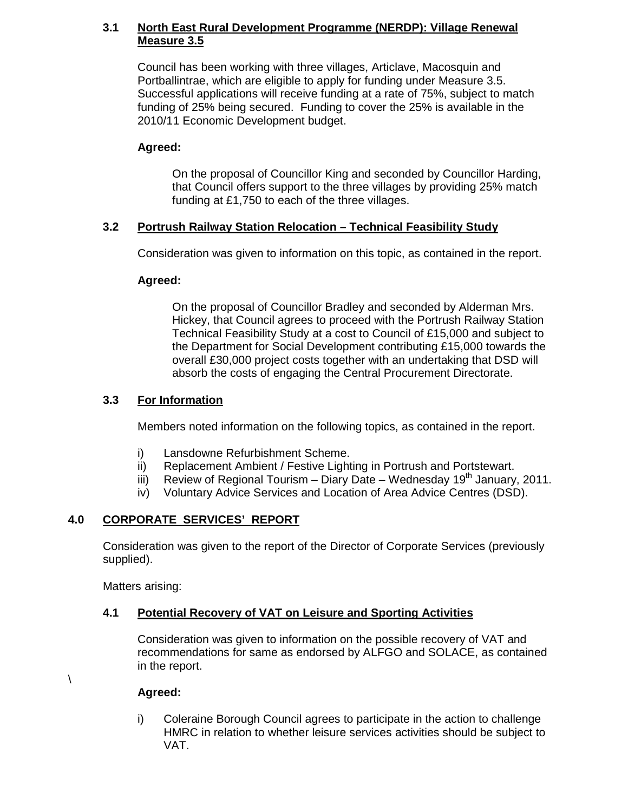# **3.1 North East Rural Development Programme (NERDP): Village Renewal Measure 3.5**

Council has been working with three villages, Articlave, Macosquin and Portballintrae, which are eligible to apply for funding under Measure 3.5. Successful applications will receive funding at a rate of 75%, subject to match funding of 25% being secured. Funding to cover the 25% is available in the 2010/11 Economic Development budget.

# **Agreed:**

On the proposal of Councillor King and seconded by Councillor Harding, that Council offers support to the three villages by providing 25% match funding at £1,750 to each of the three villages.

# **3.2 Portrush Railway Station Relocation – Technical Feasibility Study**

Consideration was given to information on this topic, as contained in the report.

# **Agreed:**

 On the proposal of Councillor Bradley and seconded by Alderman Mrs. Hickey, that Council agrees to proceed with the Portrush Railway Station Technical Feasibility Study at a cost to Council of £15,000 and subject to the Department for Social Development contributing £15,000 towards the overall £30,000 project costs together with an undertaking that DSD will absorb the costs of engaging the Central Procurement Directorate.

# **3.3 For Information**

Members noted information on the following topics, as contained in the report.

- i) Lansdowne Refurbishment Scheme.
- ii) Replacement Ambient / Festive Lighting in Portrush and Portstewart.
- iii) Review of Regional Tourism Diary Date Wednesday  $19<sup>th</sup>$  January, 2011.
- iv) Voluntary Advice Services and Location of Area Advice Centres (DSD).

# **4.0 CORPORATE SERVICES' REPORT**

Consideration was given to the report of the Director of Corporate Services (previously supplied).

Matters arising:

 $\setminus$ 

# **4.1 Potential Recovery of VAT on Leisure and Sporting Activities**

Consideration was given to information on the possible recovery of VAT and recommendations for same as endorsed by ALFGO and SOLACE, as contained in the report.

# **Agreed:**

i) Coleraine Borough Council agrees to participate in the action to challenge HMRC in relation to whether leisure services activities should be subject to VAT.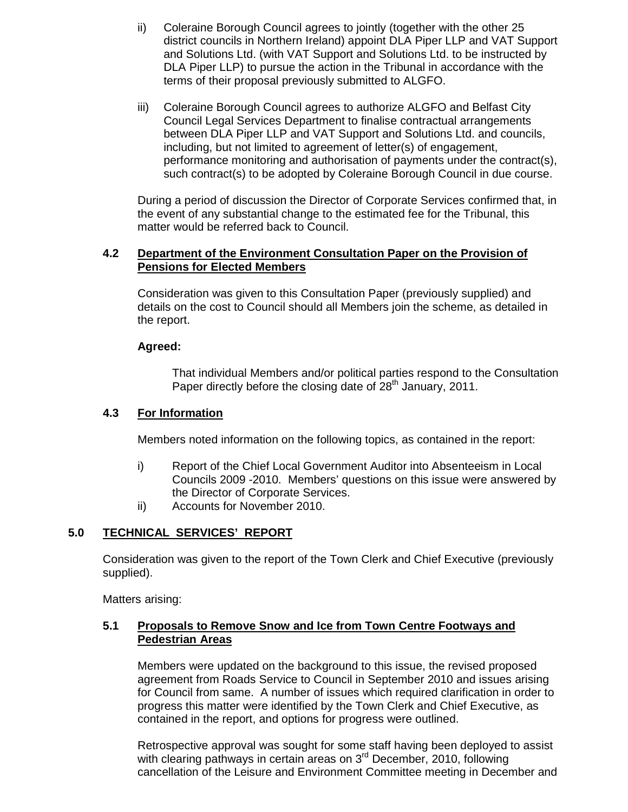- ii) Coleraine Borough Council agrees to jointly (together with the other 25 district councils in Northern Ireland) appoint DLA Piper LLP and VAT Support and Solutions Ltd. (with VAT Support and Solutions Ltd. to be instructed by DLA Piper LLP) to pursue the action in the Tribunal in accordance with the terms of their proposal previously submitted to ALGFO.
- iii) Coleraine Borough Council agrees to authorize ALGFO and Belfast City Council Legal Services Department to finalise contractual arrangements between DLA Piper LLP and VAT Support and Solutions Ltd. and councils, including, but not limited to agreement of letter(s) of engagement, performance monitoring and authorisation of payments under the contract(s), such contract(s) to be adopted by Coleraine Borough Council in due course.

During a period of discussion the Director of Corporate Services confirmed that, in the event of any substantial change to the estimated fee for the Tribunal, this matter would be referred back to Council.

## **4.2 Department of the Environment Consultation Paper on the Provision of Pensions for Elected Members**

Consideration was given to this Consultation Paper (previously supplied) and details on the cost to Council should all Members join the scheme, as detailed in the report.

# **Agreed:**

 That individual Members and/or political parties respond to the Consultation Paper directly before the closing date of 28<sup>th</sup> January, 2011.

# **4.3 For Information**

Members noted information on the following topics, as contained in the report:

- i) Report of the Chief Local Government Auditor into Absenteeism in Local Councils 2009 -2010. Members' questions on this issue were answered by the Director of Corporate Services.
- ii) Accounts for November 2010.

# **5.0 TECHNICAL SERVICES' REPORT**

Consideration was given to the report of the Town Clerk and Chief Executive (previously supplied).

Matters arising:

## **5.1 Proposals to Remove Snow and Ice from Town Centre Footways and Pedestrian Areas**

Members were updated on the background to this issue, the revised proposed agreement from Roads Service to Council in September 2010 and issues arising for Council from same. A number of issues which required clarification in order to progress this matter were identified by the Town Clerk and Chief Executive, as contained in the report, and options for progress were outlined.

 Retrospective approval was sought for some staff having been deployed to assist with clearing pathways in certain areas on 3<sup>rd</sup> December, 2010, following cancellation of the Leisure and Environment Committee meeting in December and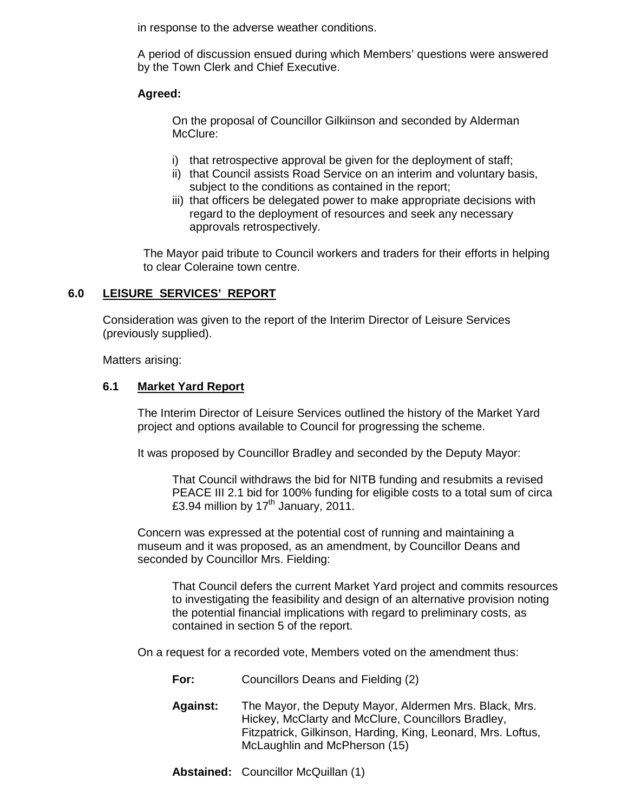in response to the adverse weather conditions.

A period of discussion ensued during which Members' questions were answered by the Town Clerk and Chief Executive.

# **Agreed:**

On the proposal of Councillor Gilkiinson and seconded by Alderman McClure:

- i) that retrospective approval be given for the deployment of staff;
- ii) that Council assists Road Service on an interim and voluntary basis, subject to the conditions as contained in the report;
- iii) that officers be delegated power to make appropriate decisions with regard to the deployment of resources and seek any necessary approvals retrospectively.

 The Mayor paid tribute to Council workers and traders for their efforts in helping to clear Coleraine town centre.

# **6.0 LEISURE SERVICES' REPORT**

Consideration was given to the report of the Interim Director of Leisure Services (previously supplied).

Matters arising:

## **6.1 Market Yard Report**

The Interim Director of Leisure Services outlined the history of the Market Yard project and options available to Council for progressing the scheme.

It was proposed by Councillor Bradley and seconded by the Deputy Mayor:

 That Council withdraws the bid for NITB funding and resubmits a revised PEACE III 2.1 bid for 100% funding for eligible costs to a total sum of circa £3.94 million by  $17<sup>th</sup>$  January, 2011.

Concern was expressed at the potential cost of running and maintaining a museum and it was proposed, as an amendment, by Councillor Deans and seconded by Councillor Mrs. Fielding:

 That Council defers the current Market Yard project and commits resources to investigating the feasibility and design of an alternative provision noting the potential financial implications with regard to preliminary costs, as contained in section 5 of the report.

On a request for a recorded vote, Members voted on the amendment thus:

- **For:** Councillors Deans and Fielding (2)
- **Against:** The Mayor, the Deputy Mayor, Aldermen Mrs. Black, Mrs. Hickey, McClarty and McClure, Councillors Bradley, Fitzpatrick, Gilkinson, Harding, King, Leonard, Mrs. Loftus, McLaughlin and McPherson (15)
- **Abstained:** Councillor McQuillan (1)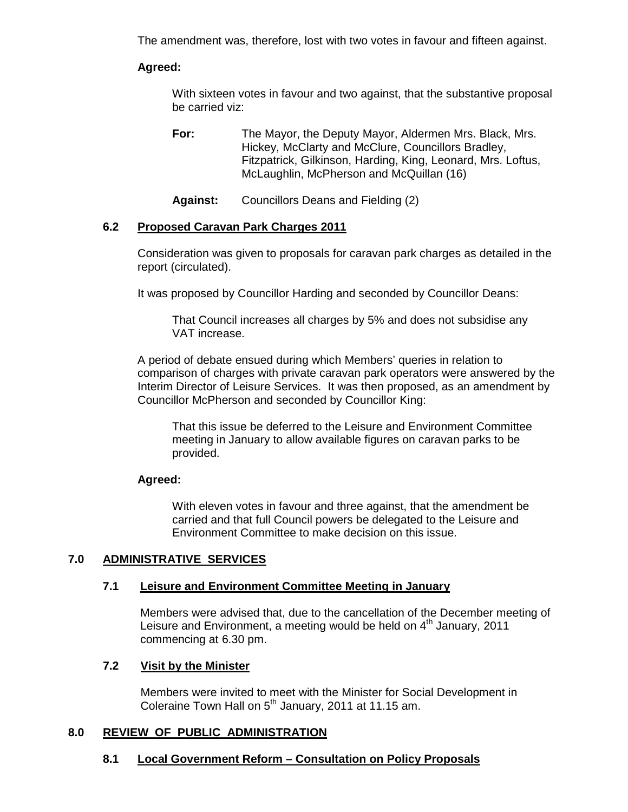The amendment was, therefore, lost with two votes in favour and fifteen against.

# **Agreed:**

 With sixteen votes in favour and two against, that the substantive proposal be carried viz:

**For:** The Mayor, the Deputy Mayor, Aldermen Mrs. Black, Mrs. Hickey, McClarty and McClure, Councillors Bradley, Fitzpatrick, Gilkinson, Harding, King, Leonard, Mrs. Loftus, McLaughlin, McPherson and McQuillan (16)

**Against:** Councillors Deans and Fielding (2)

# **6.2 Proposed Caravan Park Charges 2011**

Consideration was given to proposals for caravan park charges as detailed in the report (circulated).

It was proposed by Councillor Harding and seconded by Councillor Deans:

 That Council increases all charges by 5% and does not subsidise any VAT increase.

A period of debate ensued during which Members' queries in relation to comparison of charges with private caravan park operators were answered by the Interim Director of Leisure Services. It was then proposed, as an amendment by Councillor McPherson and seconded by Councillor King:

 That this issue be deferred to the Leisure and Environment Committee meeting in January to allow available figures on caravan parks to be provided.

## **Agreed:**

 With eleven votes in favour and three against, that the amendment be carried and that full Council powers be delegated to the Leisure and Environment Committee to make decision on this issue.

# **7.0 ADMINISTRATIVE SERVICES**

## **7.1 Leisure and Environment Committee Meeting in January**

 Members were advised that, due to the cancellation of the December meeting of Leisure and Environment, a meeting would be held on  $4<sup>th</sup>$  January, 2011 commencing at 6.30 pm.

# **7.2 Visit by the Minister**

Members were invited to meet with the Minister for Social Development in Coleraine Town Hall on  $5<sup>th</sup>$  January, 2011 at 11.15 am.

## **8.0 REVIEW OF PUBLIC ADMINISTRATION**

# **8.1 Local Government Reform – Consultation on Policy Proposals**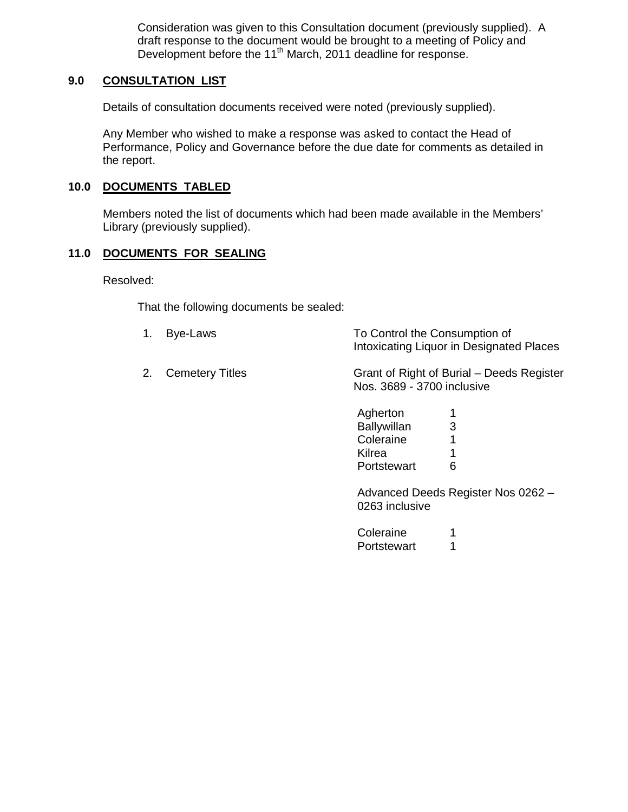Consideration was given to this Consultation document (previously supplied). A draft response to the document would be brought to a meeting of Policy and Development before the 11<sup>th</sup> March, 2011 deadline for response.

# **9.0 CONSULTATION LIST**

Details of consultation documents received were noted (previously supplied).

 Any Member who wished to make a response was asked to contact the Head of Performance, Policy and Governance before the due date for comments as detailed in the report.

### **10.0 DOCUMENTS TABLED**

 Members noted the list of documents which had been made available in the Members' Library (previously supplied).

### **11.0 DOCUMENTS FOR SEALING**

Resolved:

That the following documents be sealed:

- 1. Bye-Laws To Control the Consumption of Intoxicating Liquor in Designated Places
- 2. Cemetery Titles Grant of Right of Burial – Deeds Register Nos. 3689 - 3700 inclusive

| Agherton           | 1 |
|--------------------|---|
| <b>Ballywillan</b> | 3 |
| Coleraine          | 1 |
| Kilrea             | 1 |
| Portstewart        | 6 |

Advanced Deeds Register Nos 0262 – 0263 inclusive

| Coleraine   | 1 |
|-------------|---|
| Portstewart | 1 |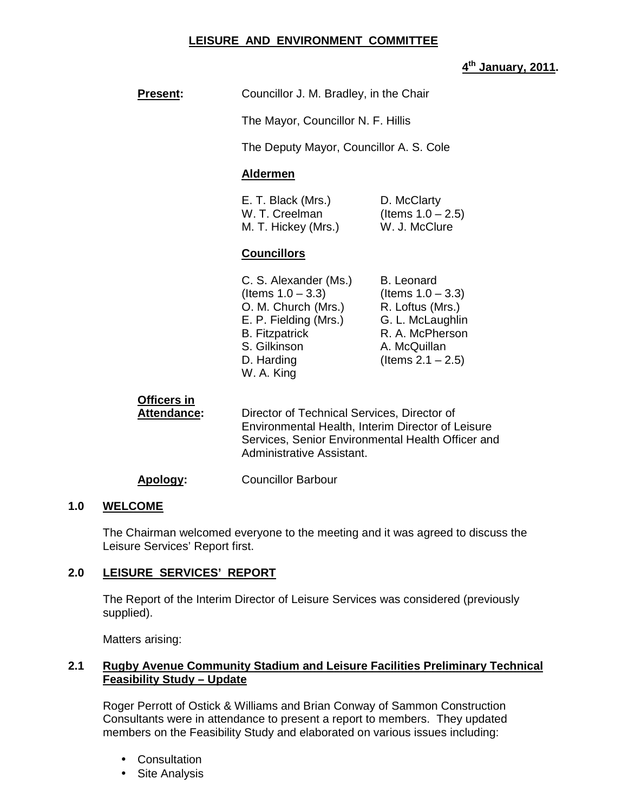# **LEISURE AND ENVIRONMENT COMMITTEE**

# **th January, 2011.**

|                                   |                                                                                                                                                                    | 4 <sup>th</sup> Janu                                                                                                                         |  |  |
|-----------------------------------|--------------------------------------------------------------------------------------------------------------------------------------------------------------------|----------------------------------------------------------------------------------------------------------------------------------------------|--|--|
| <b>Present:</b>                   | Councillor J. M. Bradley, in the Chair                                                                                                                             |                                                                                                                                              |  |  |
|                                   | The Mayor, Councillor N. F. Hillis                                                                                                                                 |                                                                                                                                              |  |  |
|                                   | The Deputy Mayor, Councillor A. S. Cole                                                                                                                            |                                                                                                                                              |  |  |
|                                   | <b>Aldermen</b>                                                                                                                                                    |                                                                                                                                              |  |  |
|                                   | E. T. Black (Mrs.)<br>W. T. Creelman<br>M. T. Hickey (Mrs.)                                                                                                        | D. McClarty<br>(Items $1.0 - 2.5$ )<br>W. J. McClure                                                                                         |  |  |
|                                   | <b>Councillors</b>                                                                                                                                                 |                                                                                                                                              |  |  |
|                                   | C. S. Alexander (Ms.)<br>(Items $1.0 - 3.3$ )<br>O. M. Church (Mrs.)<br>E. P. Fielding (Mrs.)<br><b>B.</b> Fitzpatrick<br>S. Gilkinson<br>D. Harding<br>W. A. King | <b>B.</b> Leonard<br>(Items $1.0 - 3.3$ )<br>R. Loftus (Mrs.)<br>G. L. McLaughlin<br>R. A. McPherson<br>A. McQuillan<br>(Items $2.1 - 2.5$ ) |  |  |
| Officers in<br><b>Attendance:</b> | Director of Technical Services, Director of<br>Administrative Assistant.                                                                                           | Environmental Health, Interim Director of Leisure<br>Services, Senior Environmental Health Officer and                                       |  |  |
| <u>Apology:</u>                   | <b>Councillor Barbour</b>                                                                                                                                          |                                                                                                                                              |  |  |

## **1.0 WELCOME**

The Chairman welcomed everyone to the meeting and it was agreed to discuss the Leisure Services' Report first.

#### **2.0 LEISURE SERVICES' REPORT**

 The Report of the Interim Director of Leisure Services was considered (previously supplied).

Matters arising:

# **2.1 Rugby Avenue Community Stadium and Leisure Facilities Preliminary Technical Feasibility Study – Update**

Roger Perrott of Ostick & Williams and Brian Conway of Sammon Construction Consultants were in attendance to present a report to members. They updated members on the Feasibility Study and elaborated on various issues including:

- Consultation
- Site Analysis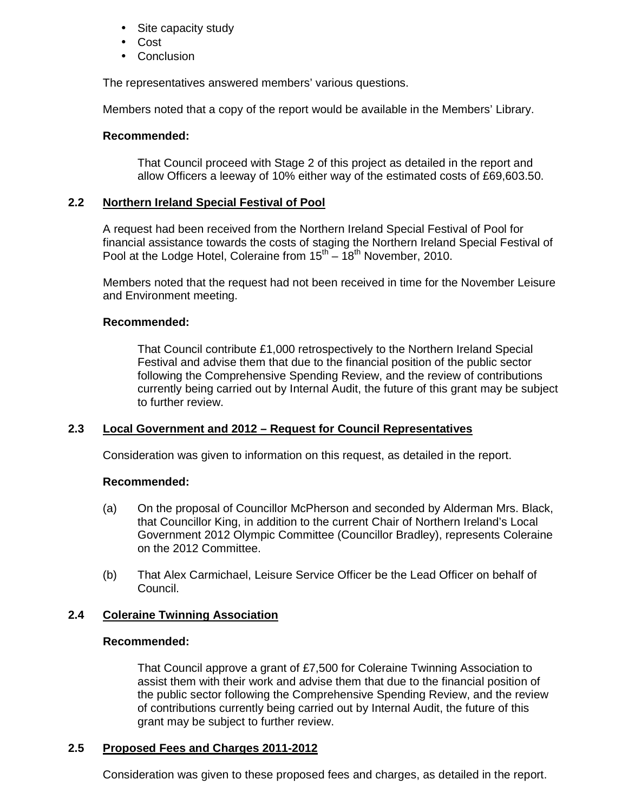- Site capacity study
- Cost
- Conclusion

The representatives answered members' various questions.

Members noted that a copy of the report would be available in the Members' Library.

# **Recommended:**

That Council proceed with Stage 2 of this project as detailed in the report and allow Officers a leeway of 10% either way of the estimated costs of £69,603.50.

# **2.2 Northern Ireland Special Festival of Pool**

A request had been received from the Northern Ireland Special Festival of Pool for financial assistance towards the costs of staging the Northern Ireland Special Festival of Pool at the Lodge Hotel, Coleraine from  $15^{th} - 18^{th}$  November, 2010.

Members noted that the request had not been received in time for the November Leisure and Environment meeting.

## **Recommended:**

 That Council contribute £1,000 retrospectively to the Northern Ireland Special Festival and advise them that due to the financial position of the public sector following the Comprehensive Spending Review, and the review of contributions currently being carried out by Internal Audit, the future of this grant may be subject to further review.

## **2.3 Local Government and 2012 – Request for Council Representatives**

Consideration was given to information on this request, as detailed in the report.

## **Recommended:**

- (a) On the proposal of Councillor McPherson and seconded by Alderman Mrs. Black, that Councillor King, in addition to the current Chair of Northern Ireland's Local Government 2012 Olympic Committee (Councillor Bradley), represents Coleraine on the 2012 Committee.
- (b) That Alex Carmichael, Leisure Service Officer be the Lead Officer on behalf of Council.

# **2.4 Coleraine Twinning Association**

## **Recommended:**

That Council approve a grant of £7,500 for Coleraine Twinning Association to assist them with their work and advise them that due to the financial position of the public sector following the Comprehensive Spending Review, and the review of contributions currently being carried out by Internal Audit, the future of this grant may be subject to further review.

# **2.5 Proposed Fees and Charges 2011-2012**

Consideration was given to these proposed fees and charges, as detailed in the report.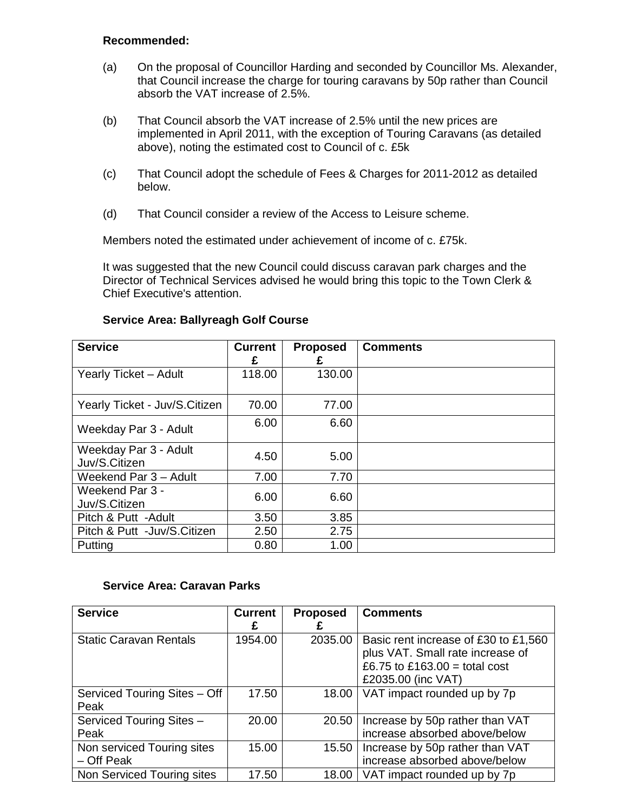### **Recommended:**

- (a) On the proposal of Councillor Harding and seconded by Councillor Ms. Alexander, that Council increase the charge for touring caravans by 50p rather than Council absorb the VAT increase of 2.5%.
- (b) That Council absorb the VAT increase of 2.5% until the new prices are implemented in April 2011, with the exception of Touring Caravans (as detailed above), noting the estimated cost to Council of c. £5k
- (c) That Council adopt the schedule of Fees & Charges for 2011-2012 as detailed below.
- (d) That Council consider a review of the Access to Leisure scheme.

Members noted the estimated under achievement of income of c. £75k.

It was suggested that the new Council could discuss caravan park charges and the Director of Technical Services advised he would bring this topic to the Town Clerk & Chief Executive's attention.

| <b>Service</b>                         | <b>Current</b><br>£ | <b>Proposed</b><br>£ | <b>Comments</b> |
|----------------------------------------|---------------------|----------------------|-----------------|
| Yearly Ticket - Adult                  | 118.00              | 130.00               |                 |
| Yearly Ticket - Juv/S.Citizen          | 70.00               | 77.00                |                 |
| Weekday Par 3 - Adult                  | 6.00                | 6.60                 |                 |
| Weekday Par 3 - Adult<br>Juv/S.Citizen | 4.50                | 5.00                 |                 |
| Weekend Par 3 - Adult                  | 7.00                | 7.70                 |                 |
| Weekend Par 3 -<br>Juv/S.Citizen       | 6.00                | 6.60                 |                 |
| Pitch & Putt -Adult                    | 3.50                | 3.85                 |                 |
| Pitch & Putt -Juv/S.Citizen            | 2.50                | 2.75                 |                 |
| Putting                                | 0.80                | 1.00                 |                 |

## **Service Area: Ballyreagh Golf Course**

#### **Service Area: Caravan Parks**

| <b>Service</b>                | <b>Current</b> | <b>Proposed</b> | <b>Comments</b>                      |
|-------------------------------|----------------|-----------------|--------------------------------------|
|                               | Ł              |                 |                                      |
| <b>Static Caravan Rentals</b> | 1954.00        | 2035.00         | Basic rent increase of £30 to £1,560 |
|                               |                |                 | plus VAT. Small rate increase of     |
|                               |                |                 | £6.75 to £163.00 = total cost        |
|                               |                |                 | £2035.00 (inc VAT)                   |
| Serviced Touring Sites - Off  | 17.50          | 18.00           | VAT impact rounded up by 7p          |
| Peak                          |                |                 |                                      |
| Serviced Touring Sites -      | 20.00          | 20.50           | Increase by 50p rather than VAT      |
| Peak                          |                |                 | increase absorbed above/below        |
| Non serviced Touring sites    | 15.00          | 15.50           | Increase by 50p rather than VAT      |
| - Off Peak                    |                |                 | increase absorbed above/below        |
| Non Serviced Touring sites    | 17.50          | 18.00           | VAT impact rounded up by 7p          |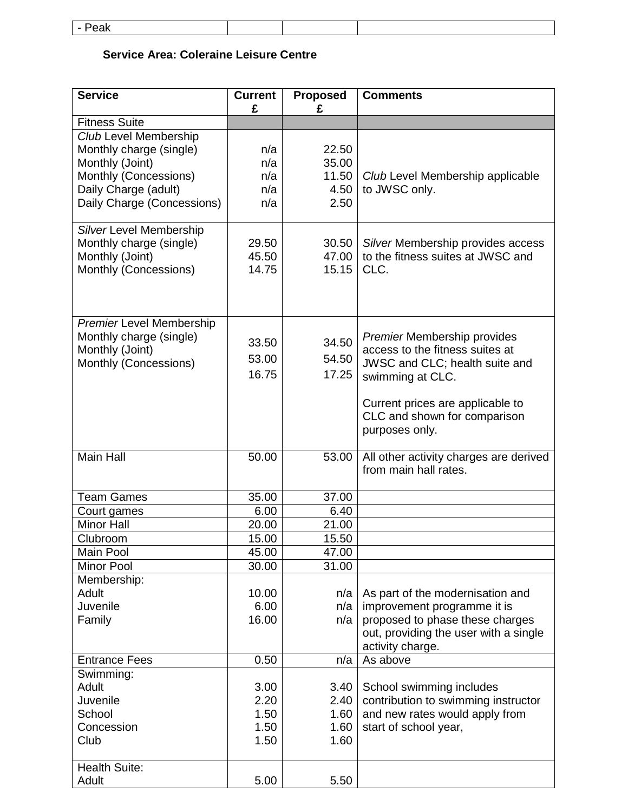| ، ا ڪ<br>--<br>.<br>____ |  |  |
|--------------------------|--|--|
|                          |  |  |

# **Service Area: Coleraine Leisure Centre**

 $\overline{\phantom{a}}$ 

| <b>Service</b>                  | <b>Current</b><br>£ | <b>Proposed</b><br>£ | <b>Comments</b>                        |
|---------------------------------|---------------------|----------------------|----------------------------------------|
| <b>Fitness Suite</b>            |                     |                      |                                        |
| Club Level Membership           |                     |                      |                                        |
| Monthly charge (single)         | n/a                 | 22.50                |                                        |
| Monthly (Joint)                 | n/a                 | 35.00                |                                        |
| Monthly (Concessions)           | n/a                 | 11.50                | Club Level Membership applicable       |
| Daily Charge (adult)            | n/a                 | 4.50                 | to JWSC only.                          |
| Daily Charge (Concessions)      | n/a                 | 2.50                 |                                        |
|                                 |                     |                      |                                        |
| Silver Level Membership         |                     |                      |                                        |
| Monthly charge (single)         | 29.50               | 30.50                | Silver Membership provides access      |
| Monthly (Joint)                 | 45.50               | 47.00                | to the fitness suites at JWSC and      |
| Monthly (Concessions)           | 14.75               | 15.15                | CLC.                                   |
|                                 |                     |                      |                                        |
|                                 |                     |                      |                                        |
|                                 |                     |                      |                                        |
| <b>Premier Level Membership</b> |                     |                      |                                        |
| Monthly charge (single)         | 33.50               | 34.50                | <b>Premier Membership provides</b>     |
| Monthly (Joint)                 | 53.00               | 54.50                | access to the fitness suites at        |
| Monthly (Concessions)           | 16.75               | 17.25                | JWSC and CLC; health suite and         |
|                                 |                     |                      | swimming at CLC.                       |
|                                 |                     |                      | Current prices are applicable to       |
|                                 |                     |                      | CLC and shown for comparison           |
|                                 |                     |                      | purposes only.                         |
|                                 |                     |                      |                                        |
| <b>Main Hall</b>                | 50.00               | 53.00                | All other activity charges are derived |
|                                 |                     |                      | from main hall rates.                  |
|                                 |                     |                      |                                        |
| <b>Team Games</b>               | 35.00               | 37.00                |                                        |
| Court games                     | 6.00                | 6.40                 |                                        |
| <b>Minor Hall</b>               | 20.00               | 21.00                |                                        |
| Clubroom                        | 15.00               | 15.50                |                                        |
| Main Pool                       | 45.00               | 47.00                |                                        |
| <b>Minor Pool</b>               | 30.00               | 31.00                |                                        |
| Membership:                     |                     |                      |                                        |
| Adult                           | 10.00               | n/a                  | As part of the modernisation and       |
| Juvenile                        | 6.00                | n/a                  | improvement programme it is            |
| Family                          | 16.00               | n/a                  | proposed to phase these charges        |
|                                 |                     |                      | out, providing the user with a single  |
|                                 |                     |                      | activity charge.                       |
| <b>Entrance Fees</b>            | 0.50                | n/a                  | As above                               |
| Swimming:                       |                     |                      |                                        |
| Adult                           | 3.00                | 3.40                 | School swimming includes               |
| Juvenile                        | 2.20                | 2.40                 | contribution to swimming instructor    |
| School                          | 1.50                | 1.60                 | and new rates would apply from         |
| Concession<br>Club              | 1.50<br>1.50        | 1.60<br>1.60         | start of school year,                  |
|                                 |                     |                      |                                        |
| <b>Health Suite:</b>            |                     |                      |                                        |
| Adult                           | 5.00                | 5.50                 |                                        |
|                                 |                     |                      |                                        |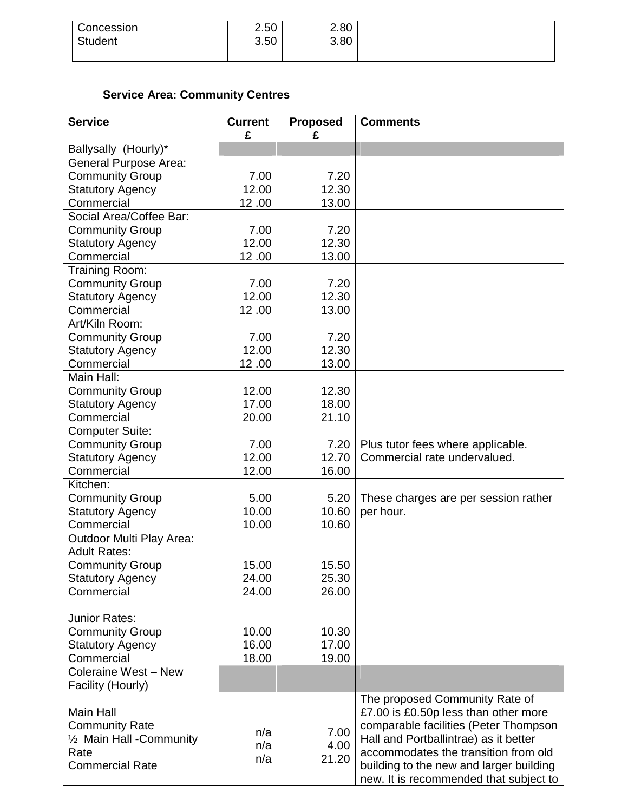| Concession     | 2.50 | 2.80 |
|----------------|------|------|
| <b>Student</b> | 3.50 | 3.80 |
|                |      |      |

# **Service Area: Community Centres**

| <b>Service</b>                                  | <b>Current</b><br>£ | <b>Proposed</b><br>£ | <b>Comments</b>                         |
|-------------------------------------------------|---------------------|----------------------|-----------------------------------------|
| Ballysally (Hourly)*                            |                     |                      |                                         |
| <b>General Purpose Area:</b>                    |                     |                      |                                         |
| <b>Community Group</b>                          | 7.00                | 7.20                 |                                         |
| <b>Statutory Agency</b>                         | 12.00               | 12.30                |                                         |
| Commercial                                      | 12.00               | 13.00                |                                         |
| Social Area/Coffee Bar:                         |                     |                      |                                         |
| <b>Community Group</b>                          | 7.00                | 7.20                 |                                         |
| <b>Statutory Agency</b>                         | 12.00               | 12.30                |                                         |
| Commercial                                      | 12.00               | 13.00                |                                         |
| Training Room:                                  |                     |                      |                                         |
| <b>Community Group</b>                          | 7.00                | 7.20                 |                                         |
| <b>Statutory Agency</b>                         | 12.00               | 12.30                |                                         |
| Commercial                                      | 12.00               | 13.00                |                                         |
| Art/Kiln Room:                                  |                     |                      |                                         |
| <b>Community Group</b>                          | 7.00                | 7.20                 |                                         |
| <b>Statutory Agency</b>                         | 12.00               | 12.30                |                                         |
| Commercial                                      | 12.00               | 13.00                |                                         |
| Main Hall:                                      |                     |                      |                                         |
| <b>Community Group</b>                          | 12.00               | 12.30                |                                         |
| <b>Statutory Agency</b>                         | 17.00               | 18.00                |                                         |
| Commercial                                      | 20.00               | 21.10                |                                         |
| <b>Computer Suite:</b>                          |                     |                      |                                         |
| <b>Community Group</b>                          | 7.00                | 7.20                 | Plus tutor fees where applicable.       |
| <b>Statutory Agency</b>                         | 12.00               | 12.70                | Commercial rate undervalued.            |
| Commercial                                      | 12.00               | 16.00                |                                         |
| Kitchen:                                        |                     |                      |                                         |
|                                                 | 5.00                | 5.20                 |                                         |
| <b>Community Group</b>                          | 10.00               | 10.60                | These charges are per session rather    |
| <b>Statutory Agency</b><br>Commercial           | 10.00               | 10.60                | per hour.                               |
|                                                 |                     |                      |                                         |
| Outdoor Multi Play Area:<br><b>Adult Rates:</b> |                     |                      |                                         |
| <b>Community Group</b>                          | 15.00               | 15.50                |                                         |
| <b>Statutory Agency</b>                         | 24.00               | 25.30                |                                         |
| Commercial                                      | 24.00               | 26.00                |                                         |
|                                                 |                     |                      |                                         |
| Junior Rates:                                   |                     |                      |                                         |
| <b>Community Group</b>                          | 10.00               | 10.30                |                                         |
| <b>Statutory Agency</b>                         | 16.00               | 17.00                |                                         |
| Commercial                                      | 18.00               | 19.00                |                                         |
| Coleraine West - New                            |                     |                      |                                         |
| Facility (Hourly)                               |                     |                      |                                         |
|                                                 |                     |                      | The proposed Community Rate of          |
| Main Hall                                       |                     |                      | £7.00 is £0.50p less than other more    |
| <b>Community Rate</b>                           |                     |                      | comparable facilities (Peter Thompson   |
| 1/2 Main Hall - Community                       | n/a                 | 7.00                 | Hall and Portballintrae) as it better   |
| Rate                                            | n/a                 | 4.00                 | accommodates the transition from old    |
| <b>Commercial Rate</b>                          | n/a                 | 21.20                | building to the new and larger building |
|                                                 |                     |                      | new. It is recommended that subject to  |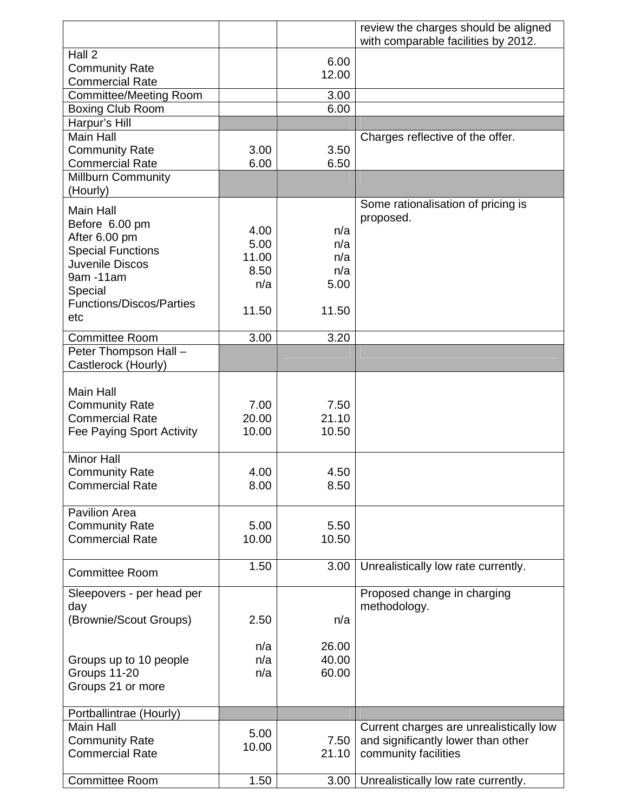|                                                 |               |               | review the charges should be aligned    |
|-------------------------------------------------|---------------|---------------|-----------------------------------------|
| Hall 2                                          |               |               | with comparable facilities by 2012.     |
| <b>Community Rate</b>                           |               | 6.00          |                                         |
| <b>Commercial Rate</b>                          |               | 12.00         |                                         |
| <b>Committee/Meeting Room</b>                   |               | 3.00          |                                         |
| <b>Boxing Club Room</b>                         |               | 6.00          |                                         |
| Harpur's Hill                                   |               |               |                                         |
| <b>Main Hall</b>                                |               |               | Charges reflective of the offer.        |
| <b>Community Rate</b>                           | 3.00          | 3.50          |                                         |
| <b>Commercial Rate</b>                          | 6.00          | 6.50          |                                         |
| <b>Millburn Community</b>                       |               |               |                                         |
| (Hourly)                                        |               |               |                                         |
| <b>Main Hall</b>                                |               |               | Some rationalisation of pricing is      |
| Before 6.00 pm                                  | 4.00          | n/a           | proposed.                               |
| After 6.00 pm                                   | 5.00          | n/a           |                                         |
| <b>Special Functions</b>                        | 11.00         | n/a           |                                         |
| Juvenile Discos                                 | 8.50          | n/a           |                                         |
| 9am -11am                                       | n/a           | 5.00          |                                         |
| Special<br><b>Functions/Discos/Parties</b>      |               |               |                                         |
| etc                                             | 11.50         | 11.50         |                                         |
|                                                 |               |               |                                         |
| <b>Committee Room</b>                           | 3.00          | 3.20          |                                         |
| Peter Thompson Hall -                           |               |               |                                         |
| Castlerock (Hourly)                             |               |               |                                         |
| Main Hall                                       |               |               |                                         |
| <b>Community Rate</b>                           | 7.00          | 7.50          |                                         |
| <b>Commercial Rate</b>                          | 20.00         | 21.10         |                                         |
| Fee Paying Sport Activity                       | 10.00         | 10.50         |                                         |
|                                                 |               |               |                                         |
| <b>Minor Hall</b>                               |               |               |                                         |
| <b>Community Rate</b>                           | 4.00          | 4.50          |                                         |
| <b>Commercial Rate</b>                          | 8.00          | 8.50          |                                         |
|                                                 |               |               |                                         |
| <b>Pavilion Area</b>                            |               |               |                                         |
| <b>Community Rate</b><br><b>Commercial Rate</b> | 5.00<br>10.00 | 5.50<br>10.50 |                                         |
|                                                 |               |               |                                         |
|                                                 | 1.50          | 3.00          | Unrealistically low rate currently.     |
| <b>Committee Room</b>                           |               |               |                                         |
| Sleepovers - per head per                       |               |               | Proposed change in charging             |
| day                                             |               |               | methodology.                            |
| (Brownie/Scout Groups)                          | 2.50          | n/a           |                                         |
|                                                 |               |               |                                         |
|                                                 | n/a           | 26.00         |                                         |
| Groups up to 10 people                          | n/a           | 40.00         |                                         |
| Groups 11-20<br>Groups 21 or more               | n/a           | 60.00         |                                         |
|                                                 |               |               |                                         |
| Portballintrae (Hourly)                         |               |               |                                         |
| <b>Main Hall</b>                                |               |               | Current charges are unrealistically low |
| <b>Community Rate</b>                           | 5.00          | 7.50          | and significantly lower than other      |
| <b>Commercial Rate</b>                          | 10.00         | 21.10         | community facilities                    |
|                                                 |               |               |                                         |
| <b>Committee Room</b>                           | 1.50          | 3.00          | Unrealistically low rate currently.     |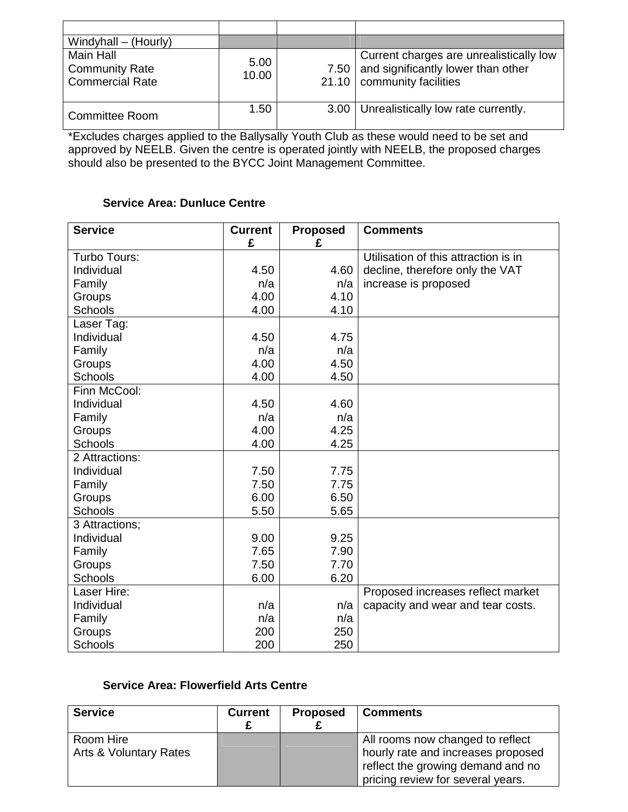| Windyhall – (Hourly)                                         |               |      |                                                                                                               |
|--------------------------------------------------------------|---------------|------|---------------------------------------------------------------------------------------------------------------|
| Main Hall<br><b>Community Rate</b><br><b>Commercial Rate</b> | 5.00<br>10.00 | 7.50 | Current charges are unrealistically low<br>and significantly lower than other<br>21.10   community facilities |
| <b>Committee Room</b>                                        | 1.50          | 3.00 | Unrealistically low rate currently.                                                                           |

\*Excludes charges applied to the Ballysally Youth Club as these would need to be set and approved by NEELB. Given the centre is operated jointly with NEELB, the proposed charges should also be presented to the BYCC Joint Management Committee.

### **Service Area: Dunluce Centre**

| <b>Service</b>           | <b>Current</b><br>£ | <b>Proposed</b><br>£ | <b>Comments</b>                      |
|--------------------------|---------------------|----------------------|--------------------------------------|
| Turbo Tours:             |                     |                      | Utilisation of this attraction is in |
| Individual               | 4.50                | 4.60                 | decline, therefore only the VAT      |
| Family                   | n/a                 | n/a                  | increase is proposed                 |
| Groups                   | 4.00                | 4.10                 |                                      |
| <b>Schools</b>           | 4.00                | 4.10                 |                                      |
| Laser Tag:               |                     |                      |                                      |
| Individual               | 4.50                | 4.75                 |                                      |
| Family                   | n/a                 | n/a                  |                                      |
| Groups                   | 4.00                | 4.50                 |                                      |
| <b>Schools</b>           | 4.00                | 4.50                 |                                      |
| Finn McCool:             |                     |                      |                                      |
| Individual               | 4.50                | 4.60                 |                                      |
|                          | n/a                 | n/a                  |                                      |
| Family                   |                     |                      |                                      |
| Groups<br><b>Schools</b> | 4.00                | 4.25<br>4.25         |                                      |
|                          | 4.00                |                      |                                      |
| 2 Attractions:           |                     |                      |                                      |
| Individual               | 7.50                | 7.75                 |                                      |
| Family                   | 7.50                | 7.75                 |                                      |
| Groups                   | 6.00                | 6.50                 |                                      |
| Schools                  | 5.50                | 5.65                 |                                      |
| 3 Attractions:           |                     |                      |                                      |
| Individual               | 9.00                | 9.25                 |                                      |
| Family                   | 7.65                | 7.90                 |                                      |
| Groups                   | 7.50                | 7.70                 |                                      |
| Schools                  | 6.00                | 6.20                 |                                      |
| Laser Hire:              |                     |                      | Proposed increases reflect market    |
| Individual               | n/a                 | n/a                  | capacity and wear and tear costs.    |
| Family                   | n/a                 | n/a                  |                                      |
| Groups                   | 200                 | 250                  |                                      |
| Schools                  | 200                 | 250                  |                                      |

# **Service Area: Flowerfield Arts Centre**

| <b>Service</b>                      | <b>Current</b> | <b>Proposed</b> | <b>Comments</b>                                                                                                                                  |
|-------------------------------------|----------------|-----------------|--------------------------------------------------------------------------------------------------------------------------------------------------|
| Room Hire<br>Arts & Voluntary Rates |                |                 | All rooms now changed to reflect<br>hourly rate and increases proposed<br>reflect the growing demand and no<br>pricing review for several years. |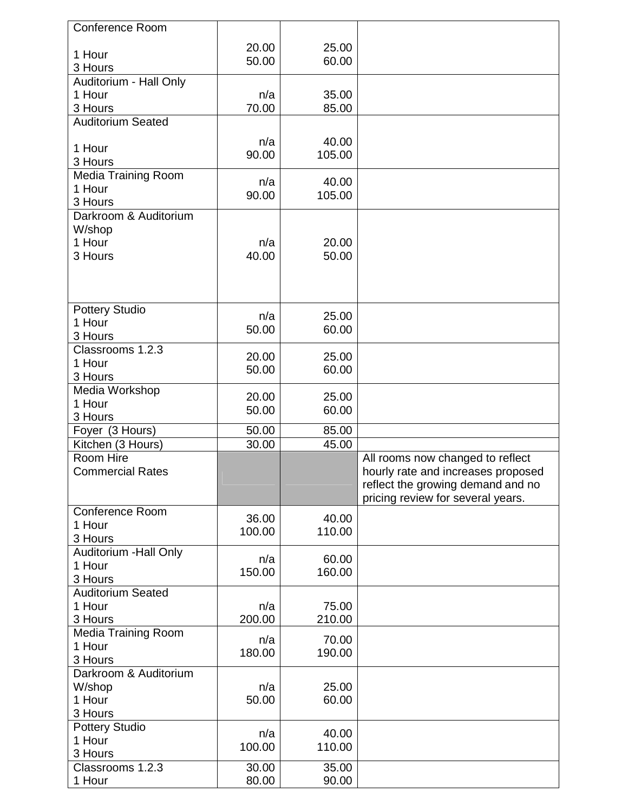| <b>Conference Room</b>     |        |        |                                    |
|----------------------------|--------|--------|------------------------------------|
|                            |        |        |                                    |
| 1 Hour                     | 20.00  | 25.00  |                                    |
| 3 Hours                    | 50.00  | 60.00  |                                    |
| Auditorium - Hall Only     |        |        |                                    |
| 1 Hour                     | n/a    | 35.00  |                                    |
| 3 Hours                    | 70.00  | 85.00  |                                    |
| <b>Auditorium Seated</b>   |        |        |                                    |
|                            |        |        |                                    |
| 1 Hour                     | n/a    | 40.00  |                                    |
| 3 Hours                    | 90.00  | 105.00 |                                    |
|                            |        |        |                                    |
| <b>Media Training Room</b> | n/a    | 40.00  |                                    |
| 1 Hour                     | 90.00  | 105.00 |                                    |
| 3 Hours                    |        |        |                                    |
| Darkroom & Auditorium      |        |        |                                    |
| W/shop                     |        |        |                                    |
| 1 Hour                     | n/a    | 20.00  |                                    |
| 3 Hours                    | 40.00  | 50.00  |                                    |
|                            |        |        |                                    |
|                            |        |        |                                    |
|                            |        |        |                                    |
| Pottery Studio             | n/a    | 25.00  |                                    |
| 1 Hour                     | 50.00  | 60.00  |                                    |
| 3 Hours                    |        |        |                                    |
| Classrooms 1.2.3           |        |        |                                    |
| 1 Hour                     | 20.00  | 25.00  |                                    |
| 3 Hours                    | 50.00  | 60.00  |                                    |
| Media Workshop             |        |        |                                    |
| 1 Hour                     | 20.00  | 25.00  |                                    |
| 3 Hours                    | 50.00  | 60.00  |                                    |
| Foyer (3 Hours)            | 50.00  | 85.00  |                                    |
| Kitchen (3 Hours)          | 30.00  | 45.00  |                                    |
| Room Hire                  |        |        | All rooms now changed to reflect   |
| <b>Commercial Rates</b>    |        |        | hourly rate and increases proposed |
|                            |        |        | reflect the growing demand and no  |
|                            |        |        | pricing review for several years.  |
| Conference Room            |        |        |                                    |
| 1 Hour                     | 36.00  | 40.00  |                                    |
|                            | 100.00 | 110.00 |                                    |
| 3 Hours                    |        |        |                                    |
| Auditorium - Hall Only     | n/a    | 60.00  |                                    |
| 1 Hour                     | 150.00 | 160.00 |                                    |
| 3 Hours                    |        |        |                                    |
| <b>Auditorium Seated</b>   |        |        |                                    |
| 1 Hour                     | n/a    | 75.00  |                                    |
| 3 Hours                    | 200.00 | 210.00 |                                    |
| Media Training Room        | n/a    | 70.00  |                                    |
| 1 Hour                     | 180.00 | 190.00 |                                    |
| 3 Hours                    |        |        |                                    |
| Darkroom & Auditorium      |        |        |                                    |
| W/shop                     | n/a    | 25.00  |                                    |
| 1 Hour                     | 50.00  | 60.00  |                                    |
| 3 Hours                    |        |        |                                    |
| <b>Pottery Studio</b>      |        |        |                                    |
| 1 Hour                     | n/a    | 40.00  |                                    |
| 3 Hours                    | 100.00 | 110.00 |                                    |
| Classrooms 1.2.3           | 30.00  | 35.00  |                                    |
| 1 Hour                     | 80.00  | 90.00  |                                    |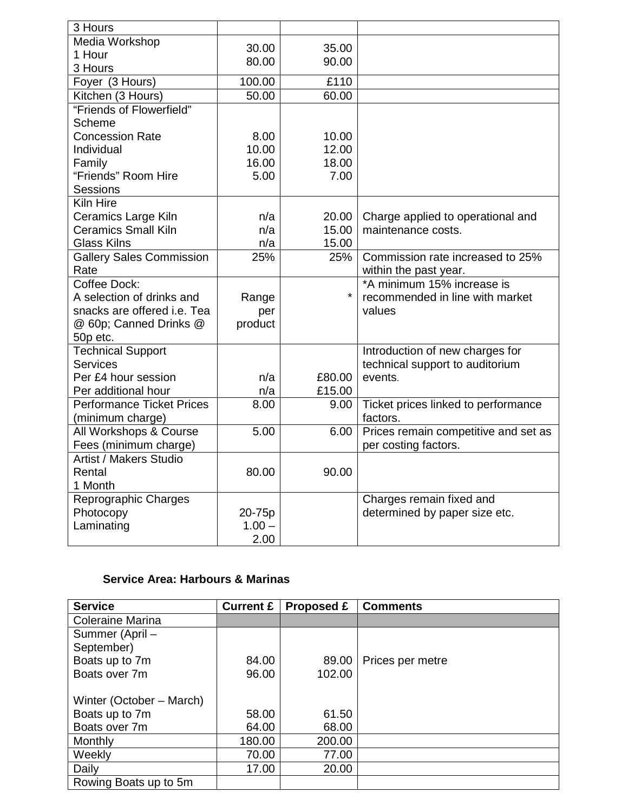| 3 Hours                          |          |         |                                      |
|----------------------------------|----------|---------|--------------------------------------|
| Media Workshop                   | 30.00    | 35.00   |                                      |
| 1 Hour                           | 80.00    | 90.00   |                                      |
| 3 Hours                          |          |         |                                      |
| Foyer (3 Hours)                  | 100.00   | £110    |                                      |
| Kitchen (3 Hours)                | 50.00    | 60.00   |                                      |
| "Friends of Flowerfield"         |          |         |                                      |
| Scheme                           |          |         |                                      |
| <b>Concession Rate</b>           | 8.00     | 10.00   |                                      |
| Individual                       | 10.00    | 12.00   |                                      |
| Family                           | 16.00    | 18.00   |                                      |
| "Friends" Room Hire              | 5.00     | 7.00    |                                      |
| <b>Sessions</b>                  |          |         |                                      |
| Kiln Hire                        |          |         |                                      |
| Ceramics Large Kiln              | n/a      | 20.00   | Charge applied to operational and    |
| <b>Ceramics Small Kiln</b>       | n/a      | 15.00   | maintenance costs.                   |
| <b>Glass Kilns</b>               | n/a      | 15.00   |                                      |
| <b>Gallery Sales Commission</b>  | 25%      | 25%     | Commission rate increased to 25%     |
| Rate                             |          |         | within the past year.                |
| Coffee Dock:                     |          |         | *A minimum 15% increase is           |
| A selection of drinks and        | Range    | $\star$ | recommended in line with market      |
| snacks are offered i.e. Tea      | per      |         | values                               |
| @ 60p; Canned Drinks @           | product  |         |                                      |
| 50p etc.                         |          |         |                                      |
| <b>Technical Support</b>         |          |         | Introduction of new charges for      |
| <b>Services</b>                  |          |         | technical support to auditorium      |
| Per £4 hour session              | n/a      | £80.00  | events.                              |
| Per additional hour              | n/a      | £15.00  |                                      |
| <b>Performance Ticket Prices</b> | 8.00     | 9.00    | Ticket prices linked to performance  |
| (minimum charge)                 |          |         | factors.                             |
| All Workshops & Course           | 5.00     | 6.00    | Prices remain competitive and set as |
| Fees (minimum charge)            |          |         | per costing factors.                 |
| <b>Artist / Makers Studio</b>    |          |         |                                      |
| Rental                           | 80.00    | 90.00   |                                      |
| 1 Month                          |          |         |                                      |
| Reprographic Charges             |          |         | Charges remain fixed and             |
| Photocopy                        | 20-75p   |         | determined by paper size etc.        |
| Laminating                       | $1.00 -$ |         |                                      |
|                                  | 2.00     |         |                                      |

# **Service Area: Harbours & Marinas**

| <b>Service</b>           | <b>Current £</b> | Proposed £ | <b>Comments</b>  |
|--------------------------|------------------|------------|------------------|
| <b>Coleraine Marina</b>  |                  |            |                  |
| Summer (April -          |                  |            |                  |
| September)               |                  |            |                  |
| Boats up to 7m           | 84.00            | 89.00      | Prices per metre |
| Boats over 7m            | 96.00            | 102.00     |                  |
|                          |                  |            |                  |
| Winter (October – March) |                  |            |                  |
| Boats up to 7m           | 58.00            | 61.50      |                  |
| Boats over 7m            | 64.00            | 68.00      |                  |
| Monthly                  | 180.00           | 200.00     |                  |
| Weekly                   | 70.00            | 77.00      |                  |
| Daily                    | 17.00            | 20.00      |                  |
| Rowing Boats up to 5m    |                  |            |                  |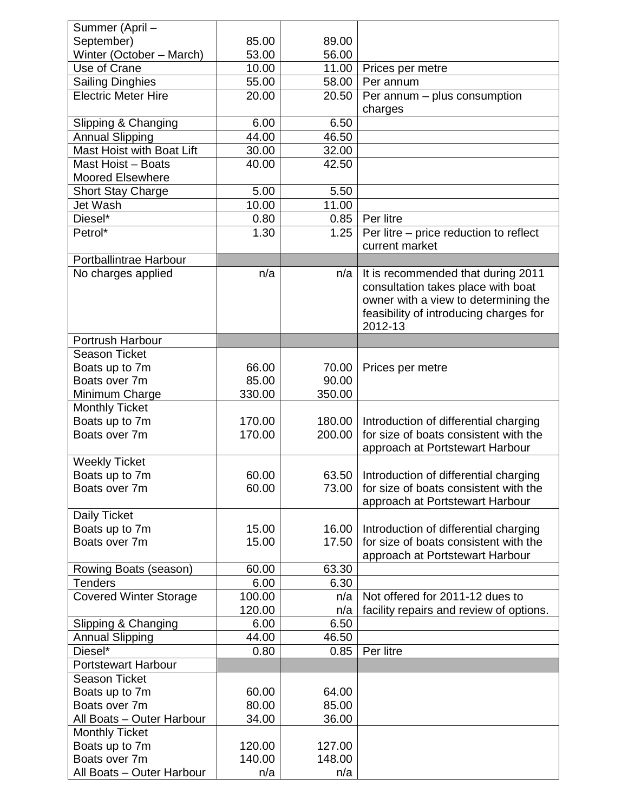| Summer (April-                   |        |        |                                         |
|----------------------------------|--------|--------|-----------------------------------------|
| September)                       | 85.00  | 89.00  |                                         |
| Winter (October - March)         | 53.00  | 56.00  |                                         |
| Use of Crane                     | 10.00  | 11.00  | Prices per metre                        |
| <b>Sailing Dinghies</b>          | 55.00  | 58.00  | Per annum                               |
| <b>Electric Meter Hire</b>       | 20.00  | 20.50  | Per annum - plus consumption            |
|                                  |        |        | charges                                 |
| Slipping & Changing              | 6.00   | 6.50   |                                         |
| <b>Annual Slipping</b>           | 44.00  | 46.50  |                                         |
| <b>Mast Hoist with Boat Lift</b> | 30.00  | 32.00  |                                         |
| Mast Hoist - Boats               | 40.00  | 42.50  |                                         |
| <b>Moored Elsewhere</b>          |        |        |                                         |
| <b>Short Stay Charge</b>         | 5.00   | 5.50   |                                         |
| Jet Wash                         | 10.00  | 11.00  |                                         |
| Diesel*                          | 0.80   | 0.85   | Per litre                               |
| Petrol*                          | 1.30   | 1.25   | Per litre - price reduction to reflect  |
|                                  |        |        | current market                          |
| Portballintrae Harbour           |        |        |                                         |
| No charges applied               | n/a    | n/a    | It is recommended that during 2011      |
|                                  |        |        | consultation takes place with boat      |
|                                  |        |        | owner with a view to determining the    |
|                                  |        |        | feasibility of introducing charges for  |
|                                  |        |        | 2012-13                                 |
| Portrush Harbour                 |        |        |                                         |
| <b>Season Ticket</b>             |        |        |                                         |
| Boats up to 7m                   | 66.00  | 70.00  | Prices per metre                        |
| Boats over 7m                    | 85.00  | 90.00  |                                         |
| Minimum Charge                   | 330.00 | 350.00 |                                         |
| <b>Monthly Ticket</b>            |        |        |                                         |
| Boats up to 7m                   | 170.00 | 180.00 | Introduction of differential charging   |
| Boats over 7m                    | 170.00 | 200.00 | for size of boats consistent with the   |
|                                  |        |        | approach at Portstewart Harbour         |
| <b>Weekly Ticket</b>             |        |        |                                         |
| Boats up to 7m                   | 60.00  | 63.50  | Introduction of differential charging   |
| Boats over 7m                    | 60.00  | 73.00  | for size of boats consistent with the   |
|                                  |        |        | approach at Portstewart Harbour         |
| Daily Ticket                     |        |        |                                         |
| Boats up to 7m                   | 15.00  | 16.00  | Introduction of differential charging   |
| Boats over 7m                    | 15.00  | 17.50  | for size of boats consistent with the   |
|                                  |        |        | approach at Portstewart Harbour         |
| Rowing Boats (season)            | 60.00  | 63.30  |                                         |
| <b>Tenders</b>                   | 6.00   | 6.30   |                                         |
| <b>Covered Winter Storage</b>    | 100.00 | n/a    | Not offered for 2011-12 dues to         |
|                                  | 120.00 | n/a    | facility repairs and review of options. |
| Slipping & Changing              | 6.00   | 6.50   |                                         |
| <b>Annual Slipping</b>           | 44.00  | 46.50  |                                         |
| Diesel*                          | 0.80   | 0.85   | Per litre                               |
| <b>Portstewart Harbour</b>       |        |        |                                         |
| <b>Season Ticket</b>             |        |        |                                         |
| Boats up to 7m                   | 60.00  | 64.00  |                                         |
| Boats over 7m                    | 80.00  | 85.00  |                                         |
|                                  |        |        |                                         |
| All Boats - Outer Harbour        | 34.00  | 36.00  |                                         |
| <b>Monthly Ticket</b>            |        |        |                                         |
| Boats up to 7m                   | 120.00 | 127.00 |                                         |
| Boats over 7m                    | 140.00 | 148.00 |                                         |
| All Boats - Outer Harbour        | n/a    | n/a    |                                         |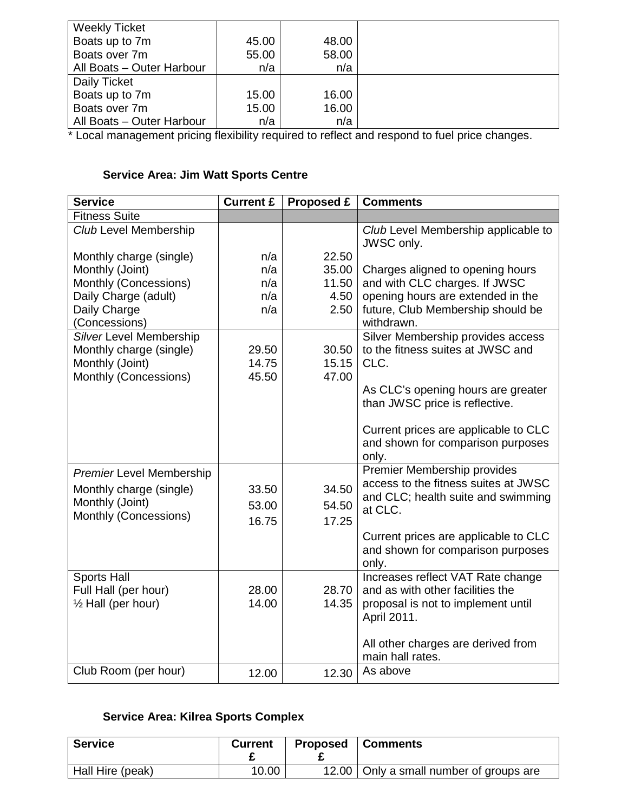| <b>Weekly Ticket</b>      |       |       |  |
|---------------------------|-------|-------|--|
| Boats up to 7m            | 45.00 | 48.00 |  |
| Boats over 7m             | 55.00 | 58.00 |  |
| All Boats - Outer Harbour | n/a   | n/a   |  |
| Daily Ticket              |       |       |  |
| Boats up to 7m            | 15.00 | 16.00 |  |
| Boats over 7m             | 15.00 | 16.00 |  |
| All Boats - Outer Harbour | n/a   | n/a   |  |

\* Local management pricing flexibility required to reflect and respond to fuel price changes.

# **Service Area: Jim Watt Sports Centre**

| <b>Service</b>                  | <b>Current £</b> | <b>Proposed £</b> | <b>Comments</b>                                                      |
|---------------------------------|------------------|-------------------|----------------------------------------------------------------------|
| <b>Fitness Suite</b>            |                  |                   |                                                                      |
| <b>Club Level Membership</b>    |                  |                   | Club Level Membership applicable to                                  |
|                                 |                  |                   | JWSC only.                                                           |
| Monthly charge (single)         | n/a              | 22.50             |                                                                      |
| Monthly (Joint)                 | n/a              | 35.00             | Charges aligned to opening hours                                     |
| Monthly (Concessions)           | n/a              | 11.50             | and with CLC charges. If JWSC                                        |
| Daily Charge (adult)            | n/a              | 4.50              | opening hours are extended in the                                    |
| Daily Charge                    | n/a              | 2.50              | future, Club Membership should be                                    |
| (Concessions)                   |                  |                   | withdrawn.                                                           |
| Silver Level Membership         |                  |                   | Silver Membership provides access                                    |
| Monthly charge (single)         | 29.50            | 30.50             | to the fitness suites at JWSC and                                    |
| Monthly (Joint)                 | 14.75            | 15.15             | CLC.                                                                 |
| Monthly (Concessions)           | 45.50            | 47.00             |                                                                      |
|                                 |                  |                   | As CLC's opening hours are greater<br>than JWSC price is reflective. |
|                                 |                  |                   |                                                                      |
|                                 |                  |                   | Current prices are applicable to CLC                                 |
|                                 |                  |                   | and shown for comparison purposes                                    |
|                                 |                  |                   | only.                                                                |
| <b>Premier Level Membership</b> |                  |                   | Premier Membership provides                                          |
| Monthly charge (single)         | 33.50            | 34.50             | access to the fitness suites at JWSC                                 |
| Monthly (Joint)                 |                  |                   | and CLC; health suite and swimming                                   |
| Monthly (Concessions)           | 53.00            | 54.50             | at CLC.                                                              |
|                                 | 16.75            | 17.25             |                                                                      |
|                                 |                  |                   | Current prices are applicable to CLC                                 |
|                                 |                  |                   | and shown for comparison purposes                                    |
|                                 |                  |                   | only.                                                                |
| <b>Sports Hall</b>              |                  |                   | Increases reflect VAT Rate change                                    |
| Full Hall (per hour)            | 28.00            | 28.70             | and as with other facilities the                                     |
| 1/2 Hall (per hour)             | 14.00            | 14.35             | proposal is not to implement until                                   |
|                                 |                  |                   | April 2011.                                                          |
|                                 |                  |                   | All other charges are derived from                                   |
|                                 |                  |                   | main hall rates.                                                     |
| Club Room (per hour)            |                  |                   | As above                                                             |
|                                 | 12.00            | 12.30             |                                                                      |

# **Service Area: Kilrea Sports Complex**

| <b>Service</b>   | <b>Current</b> | <b>Proposed</b> | <b>Comments</b>                           |
|------------------|----------------|-----------------|-------------------------------------------|
| Hall Hire (peak) | 10.00          |                 | 12.00   Only a small number of groups are |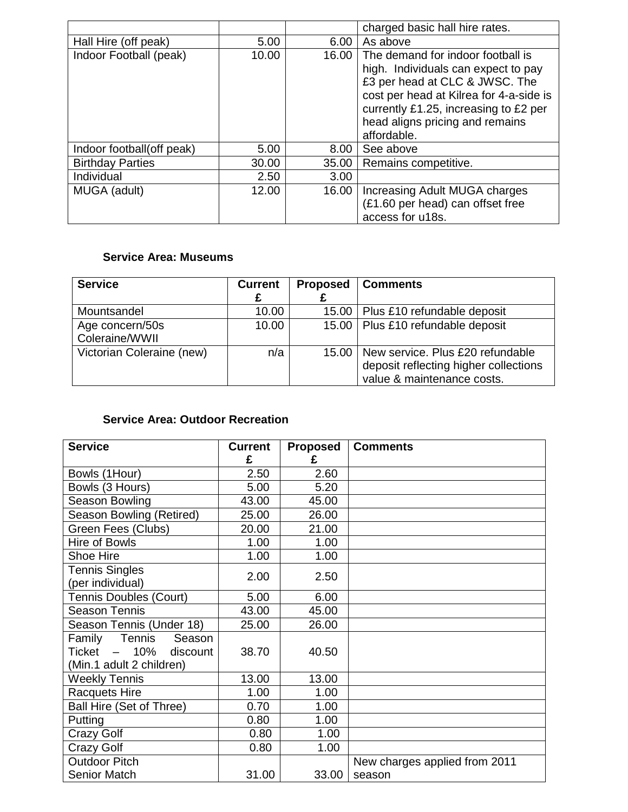|                           |       |                   | charged basic hall hire rates.                                                                                                                                                                                                                   |
|---------------------------|-------|-------------------|--------------------------------------------------------------------------------------------------------------------------------------------------------------------------------------------------------------------------------------------------|
| Hall Hire (off peak)      | 5.00  | 6.00              | As above                                                                                                                                                                                                                                         |
| Indoor Football (peak)    | 10.00 | 16.00             | The demand for indoor football is<br>high. Individuals can expect to pay<br>£3 per head at CLC & JWSC. The<br>cost per head at Kilrea for 4-a-side is<br>currently £1.25, increasing to £2 per<br>head aligns pricing and remains<br>affordable. |
| Indoor football(off peak) | 5.00  | 8.00 <sub>1</sub> | See above                                                                                                                                                                                                                                        |
| <b>Birthday Parties</b>   | 30.00 | 35.00             | Remains competitive.                                                                                                                                                                                                                             |
| Individual                | 2.50  | 3.00              |                                                                                                                                                                                                                                                  |
| MUGA (adult)              | 12.00 | 16.00             | Increasing Adult MUGA charges<br>(£1.60 per head) can offset free<br>access for u18s.                                                                                                                                                            |

# **Service Area: Museums**

| <b>Service</b>                    | <b>Current</b> | <b>Proposed</b> | <b>Comments</b>                                                                                         |
|-----------------------------------|----------------|-----------------|---------------------------------------------------------------------------------------------------------|
| Mountsandel                       | 10.00          | 15.00           | Plus £10 refundable deposit                                                                             |
| Age concern/50s<br>Coleraine/WWII | 10.00          | 15.00           | Plus £10 refundable deposit                                                                             |
| Victorian Coleraine (new)         | n/a            | 15.00           | New service. Plus £20 refundable<br>deposit reflecting higher collections<br>value & maintenance costs. |

# **Service Area: Outdoor Recreation**

| <b>Service</b>                                                                    | <b>Current</b><br>£ | <b>Proposed</b><br>£ | <b>Comments</b>               |
|-----------------------------------------------------------------------------------|---------------------|----------------------|-------------------------------|
| Bowls (1Hour)                                                                     | 2.50                | 2.60                 |                               |
| Bowls (3 Hours)                                                                   | 5.00                | 5.20                 |                               |
| Season Bowling                                                                    | 43.00               | 45.00                |                               |
| Season Bowling (Retired)                                                          | 25.00               | 26.00                |                               |
| Green Fees (Clubs)                                                                | 20.00               | 21.00                |                               |
| Hire of Bowls                                                                     | 1.00                | 1.00                 |                               |
| Shoe Hire                                                                         | 1.00                | 1.00                 |                               |
| <b>Tennis Singles</b><br>(per individual)                                         | 2.00                | 2.50                 |                               |
| <b>Tennis Doubles (Court)</b>                                                     | 5.00                | 6.00                 |                               |
| <b>Season Tennis</b>                                                              | 43.00               | 45.00                |                               |
| Season Tennis (Under 18)                                                          | 25.00               | 26.00                |                               |
| Family Tennis<br>Season<br>Ticket $-10\%$<br>discount<br>(Min.1 adult 2 children) | 38.70               | 40.50                |                               |
| <b>Weekly Tennis</b>                                                              | 13.00               | 13.00                |                               |
| <b>Racquets Hire</b>                                                              | 1.00                | 1.00                 |                               |
| Ball Hire (Set of Three)                                                          | 0.70                | 1.00                 |                               |
| Putting                                                                           | 0.80                | 1.00                 |                               |
| <b>Crazy Golf</b>                                                                 | 0.80                | 1.00                 |                               |
| Crazy Golf                                                                        | 0.80                | 1.00                 |                               |
| <b>Outdoor Pitch</b>                                                              |                     |                      | New charges applied from 2011 |
| <b>Senior Match</b>                                                               | 31.00               | 33.00                | season                        |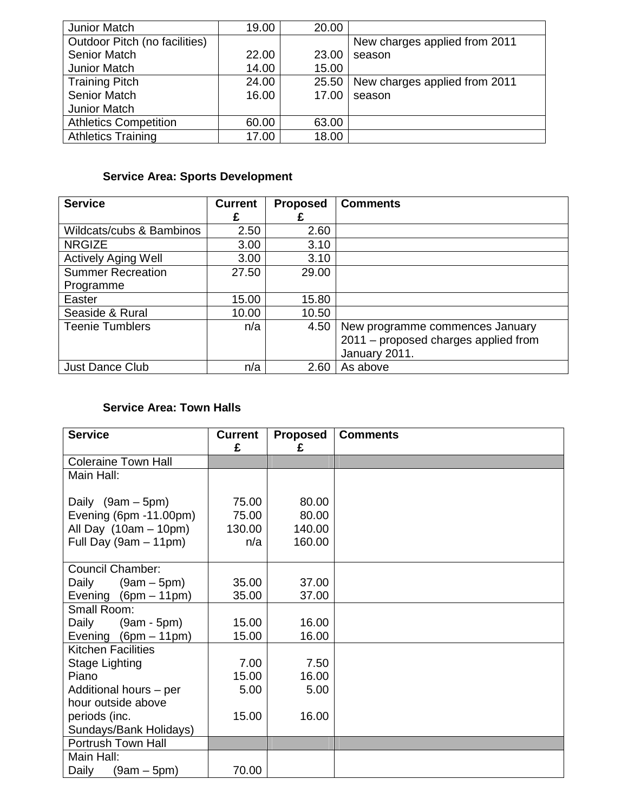| Junior Match                  | 19.00 | 20.00 |                               |
|-------------------------------|-------|-------|-------------------------------|
| Outdoor Pitch (no facilities) |       |       | New charges applied from 2011 |
| <b>Senior Match</b>           | 22.00 | 23.00 | season                        |
| Junior Match                  | 14.00 | 15.00 |                               |
| <b>Training Pitch</b>         | 24.00 | 25.50 | New charges applied from 2011 |
| <b>Senior Match</b>           | 16.00 | 17.00 | season                        |
| Junior Match                  |       |       |                               |
| <b>Athletics Competition</b>  | 60.00 | 63.00 |                               |
| <b>Athletics Training</b>     | 17.00 | 18.00 |                               |

# **Service Area: Sports Development**

| <b>Service</b>             | <b>Current</b> | <b>Proposed</b> | <b>Comments</b>                      |
|----------------------------|----------------|-----------------|--------------------------------------|
|                            | £              |                 |                                      |
| Wildcats/cubs & Bambinos   | 2.50           | 2.60            |                                      |
| <b>NRGIZE</b>              | 3.00           | 3.10            |                                      |
| <b>Actively Aging Well</b> | 3.00           | 3.10            |                                      |
| <b>Summer Recreation</b>   | 27.50          | 29.00           |                                      |
| Programme                  |                |                 |                                      |
| Easter                     | 15.00          | 15.80           |                                      |
| Seaside & Rural            | 10.00          | 10.50           |                                      |
| <b>Teenie Tumblers</b>     | n/a            | 4.50            | New programme commences January      |
|                            |                |                 | 2011 - proposed charges applied from |
|                            |                |                 | January 2011.                        |
| Just Dance Club            | n/a            | 2.60            | As above                             |

# **Service Area: Town Halls**

| <b>Service</b>             | <b>Current</b> | <b>Proposed</b> | <b>Comments</b> |
|----------------------------|----------------|-----------------|-----------------|
|                            | £              | £               |                 |
| <b>Coleraine Town Hall</b> |                |                 |                 |
| Main Hall:                 |                |                 |                 |
|                            |                |                 |                 |
| Daily (9am - 5pm)          | 75.00          | 80.00           |                 |
| Evening (6pm -11.00pm)     | 75.00          | 80.00           |                 |
| All Day $(10am - 10pm)$    | 130.00         | 140.00          |                 |
| Full Day $(9am - 11pm)$    | n/a            | 160.00          |                 |
|                            |                |                 |                 |
| <b>Council Chamber:</b>    |                |                 |                 |
| Daily<br>$(9am - 5pm)$     | 35.00          | 37.00           |                 |
| Evening $(6pm - 11pm)$     | 35.00          | 37.00           |                 |
| Small Room:                |                |                 |                 |
| $(9am - 5pm)$<br>Daily     | 15.00          | 16.00           |                 |
| Evening $(6pm - 11pm)$     | 15.00          | 16.00           |                 |
| <b>Kitchen Facilities</b>  |                |                 |                 |
| Stage Lighting             | 7.00           | 7.50            |                 |
| Piano                      | 15.00          | 16.00           |                 |
| Additional hours - per     | 5.00           | 5.00            |                 |
| hour outside above         |                |                 |                 |
| periods (inc.              | 15.00          | 16.00           |                 |
| Sundays/Bank Holidays)     |                |                 |                 |
| Portrush Town Hall         |                |                 |                 |
| Main Hall:                 |                |                 |                 |
| $(9am - 5pm)$<br>Daily     | 70.00          |                 |                 |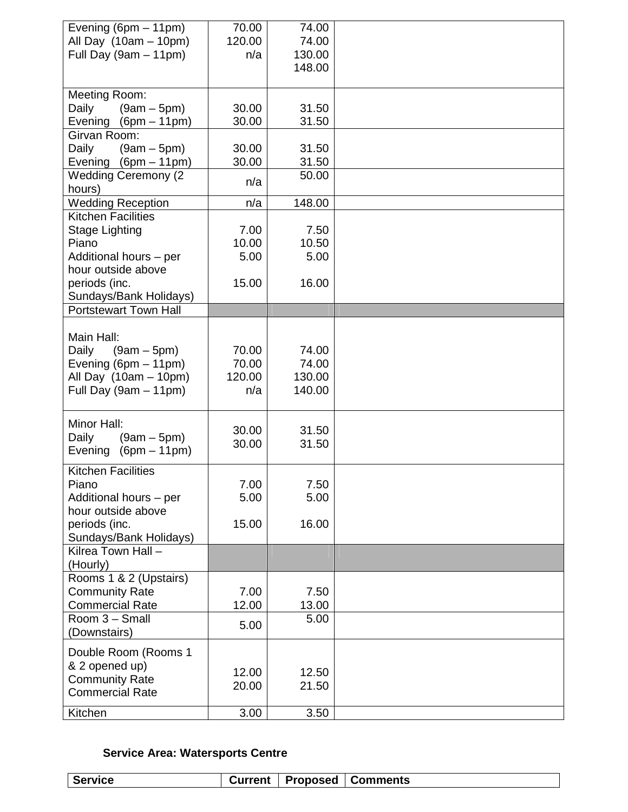| Evening (6pm - 11pm)                             | 70.00           | 74.00          |  |
|--------------------------------------------------|-----------------|----------------|--|
| All Day $(10am - 10pm)$                          | 120.00          | 74.00          |  |
| Full Day (9am - 11pm)                            | n/a             | 130.00         |  |
|                                                  |                 | 148.00         |  |
|                                                  |                 |                |  |
| Meeting Room:                                    |                 |                |  |
| Daily<br>$(9am - 5pm)$<br>Evening (6pm - 11pm)   | 30.00<br>30.00  | 31.50<br>31.50 |  |
| Girvan Room:                                     |                 |                |  |
| Daily<br>$(9am - 5pm)$                           | 30.00           | 31.50          |  |
| Evening (6pm - 11pm)                             | 30.00           | 31.50          |  |
| <b>Wedding Ceremony (2)</b>                      |                 | 50.00          |  |
| hours)                                           | n/a             |                |  |
| <b>Wedding Reception</b>                         | n/a             | 148.00         |  |
| <b>Kitchen Facilities</b>                        |                 |                |  |
| <b>Stage Lighting</b>                            | 7.00            | 7.50           |  |
| Piano                                            | 10.00           | 10.50          |  |
| Additional hours - per                           | 5.00            | 5.00           |  |
| hour outside above                               |                 |                |  |
| periods (inc.                                    | 15.00           | 16.00          |  |
| Sundays/Bank Holidays)                           |                 |                |  |
| <b>Portstewart Town Hall</b>                     |                 |                |  |
|                                                  |                 |                |  |
| Main Hall:                                       |                 |                |  |
| Daily<br>$(9am - 5pm)$                           | 70.00           | 74.00<br>74.00 |  |
| Evening ( $6pm - 11pm$ )                         | 70.00<br>120.00 | 130.00         |  |
| All Day $(10am - 10pm)$<br>Full Day (9am - 11pm) | n/a             | 140.00         |  |
|                                                  |                 |                |  |
| Minor Hall:                                      |                 |                |  |
| Daily<br>$(9am - 5pm)$                           | 30.00           | 31.50          |  |
| Evening<br>$(6pm - 11pm)$                        | 30.00           | 31.50          |  |
|                                                  |                 |                |  |
| <b>Kitchen Facilities</b>                        |                 |                |  |
| Piano                                            | 7.00            | 7.50           |  |
| Additional hours - per                           | 5.00            | 5.00           |  |
| hour outside above                               |                 |                |  |
| periods (inc.<br>Sundays/Bank Holidays)          | 15.00           | 16.00          |  |
| Kilrea Town Hall -                               |                 |                |  |
| (Hourly)                                         |                 |                |  |
| Rooms 1 & 2 (Upstairs)                           |                 |                |  |
| <b>Community Rate</b>                            | 7.00            | 7.50           |  |
| <b>Commercial Rate</b>                           | 12.00           | 13.00          |  |
| Room 3 - Small                                   |                 | 5.00           |  |
| (Downstairs)                                     | 5.00            |                |  |
| Double Room (Rooms 1                             |                 |                |  |
| & 2 opened up)                                   |                 |                |  |
| <b>Community Rate</b>                            | 12.00           | 12.50          |  |
| <b>Commercial Rate</b>                           | 20.00           | 21.50          |  |
|                                                  |                 |                |  |
| Kitchen                                          | 3.00            | 3.50           |  |

# **Service Area: Watersports Centre**

| ≏     |
|-------|
| ervic |
|       |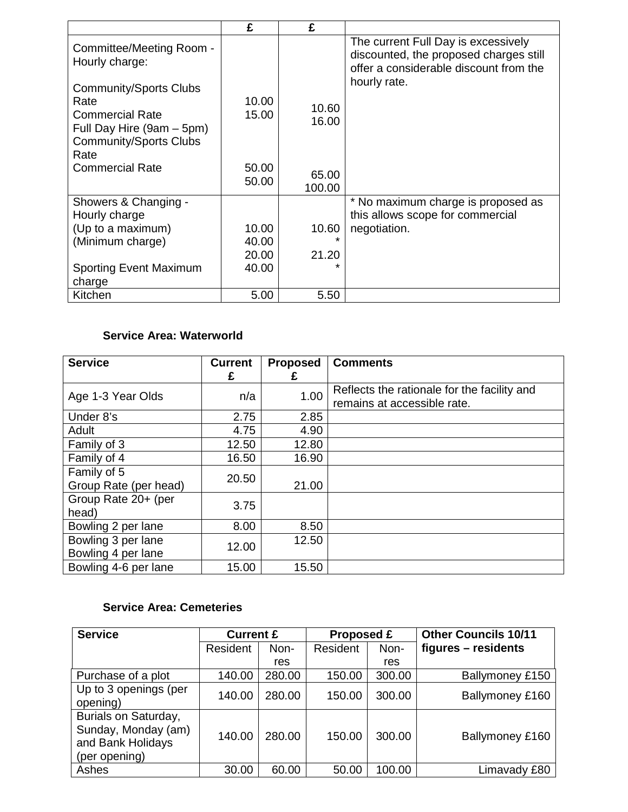|                                                                                                                                       | £              | £               |                                                                                                                         |
|---------------------------------------------------------------------------------------------------------------------------------------|----------------|-----------------|-------------------------------------------------------------------------------------------------------------------------|
| Committee/Meeting Room -<br>Hourly charge:                                                                                            |                |                 | The current Full Day is excessively<br>discounted, the proposed charges still<br>offer a considerable discount from the |
| <b>Community/Sports Clubs</b><br>Rate<br><b>Commercial Rate</b><br>Full Day Hire (9am – 5pm)<br><b>Community/Sports Clubs</b><br>Rate | 10.00<br>15.00 | 10.60<br>16.00  | hourly rate.                                                                                                            |
| <b>Commercial Rate</b>                                                                                                                | 50.00<br>50.00 | 65.00<br>100.00 |                                                                                                                         |
| Showers & Changing -                                                                                                                  |                |                 | * No maximum charge is proposed as                                                                                      |
| Hourly charge                                                                                                                         |                |                 | this allows scope for commercial                                                                                        |
| (Up to a maximum)                                                                                                                     | 10.00          | 10.60           | negotiation.                                                                                                            |
| (Minimum charge)                                                                                                                      | 40.00          | $\star$         |                                                                                                                         |
|                                                                                                                                       | 20.00          | 21.20           |                                                                                                                         |
| <b>Sporting Event Maximum</b><br>charge                                                                                               | 40.00          |                 |                                                                                                                         |
| Kitchen                                                                                                                               | 5.00           | 5.50            |                                                                                                                         |

# **Service Area: Waterworld**

| <b>Service</b>        | <b>Current</b> | <b>Proposed</b> | <b>Comments</b>                             |
|-----------------------|----------------|-----------------|---------------------------------------------|
|                       | £              | £               |                                             |
| Age 1-3 Year Olds     | n/a            | 1.00            | Reflects the rationale for the facility and |
|                       |                |                 | remains at accessible rate.                 |
| Under 8's             | 2.75           | 2.85            |                                             |
| Adult                 | 4.75           | 4.90            |                                             |
| Family of 3           | 12.50          | 12.80           |                                             |
| Family of 4           | 16.50          | 16.90           |                                             |
| Family of 5           | 20.50          |                 |                                             |
| Group Rate (per head) |                | 21.00           |                                             |
| Group Rate 20+ (per   | 3.75           |                 |                                             |
| head)                 |                |                 |                                             |
| Bowling 2 per lane    | 8.00           | 8.50            |                                             |
| Bowling 3 per lane    | 12.00          | 12.50           |                                             |
| Bowling 4 per lane    |                |                 |                                             |
| Bowling 4-6 per lane  | 15.00          | 15.50           |                                             |

# **Service Area: Cemeteries**

| <b>Service</b>                                                                    | <b>Current £</b> |        | Proposed £ |        | <b>Other Councils 10/11</b> |
|-----------------------------------------------------------------------------------|------------------|--------|------------|--------|-----------------------------|
|                                                                                   | Resident         | Non-   | Resident   | Non-   | figures – residents         |
|                                                                                   |                  | res    |            | res    |                             |
| Purchase of a plot                                                                | 140.00           | 280.00 | 150.00     | 300.00 | Ballymoney £150             |
| Up to 3 openings (per<br>opening)                                                 | 140.00           | 280.00 | 150.00     | 300.00 | Ballymoney £160             |
| Burials on Saturday,<br>Sunday, Monday (am)<br>and Bank Holidays<br>(per opening) | 140.00           | 280.00 | 150.00     | 300.00 | Ballymoney £160             |
| Ashes                                                                             | 30.00            | 60.00  | 50.00      | 100.00 | Limavady £80                |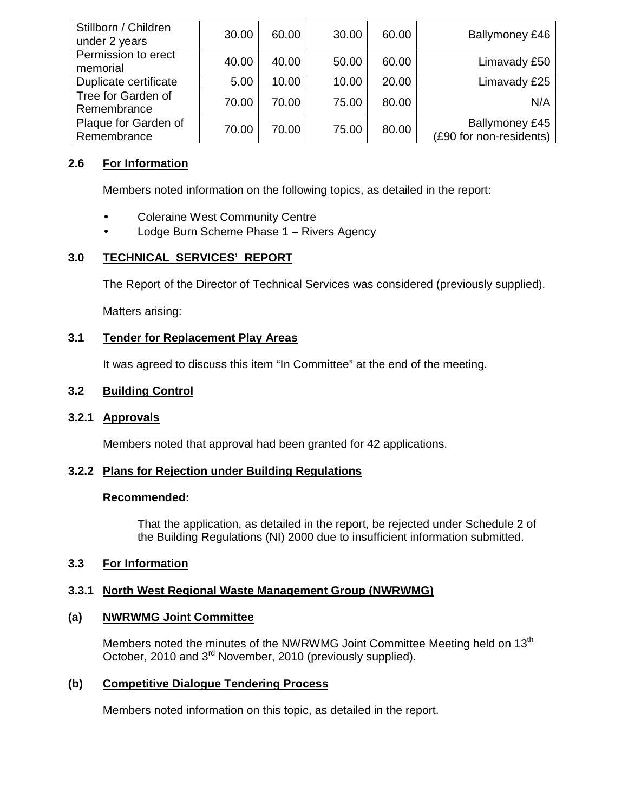| Stillborn / Children<br>under 2 years | 30.00 | 60.00 | 30.00 | 60.00 | Ballymoney £46                                   |
|---------------------------------------|-------|-------|-------|-------|--------------------------------------------------|
| Permission to erect<br>memorial       | 40.00 | 40.00 | 50.00 | 60.00 | Limavady £50                                     |
| Duplicate certificate                 | 5.00  | 10.00 | 10.00 | 20.00 | Limavady £25                                     |
| Tree for Garden of<br>Remembrance     | 70.00 | 70.00 | 75.00 | 80.00 | N/A                                              |
| Plaque for Garden of<br>Remembrance   | 70.00 | 70.00 | 75.00 | 80.00 | <b>Ballymoney £45</b><br>(£90 for non-residents) |

# **2.6 For Information**

Members noted information on the following topics, as detailed in the report:

- Coleraine West Community Centre
- Lodge Burn Scheme Phase 1 Rivers Agency

# **3.0 TECHNICAL SERVICES' REPORT**

The Report of the Director of Technical Services was considered (previously supplied).

Matters arising:

# **3.1 Tender for Replacement Play Areas**

It was agreed to discuss this item "In Committee" at the end of the meeting.

# **3.2 Building Control**

## **3.2.1 Approvals**

Members noted that approval had been granted for 42 applications.

# **3.2.2 Plans for Rejection under Building Regulations**

## **Recommended:**

 That the application, as detailed in the report, be rejected under Schedule 2 of the Building Regulations (NI) 2000 due to insufficient information submitted.

# **3.3 For Information**

# **3.3.1 North West Regional Waste Management Group (NWRWMG)**

# **(a) NWRWMG Joint Committee**

Members noted the minutes of the NWRWMG Joint Committee Meeting held on 13<sup>th</sup> October, 2010 and 3<sup>rd</sup> November, 2010 (previously supplied).

# **(b) Competitive Dialogue Tendering Process**

Members noted information on this topic, as detailed in the report.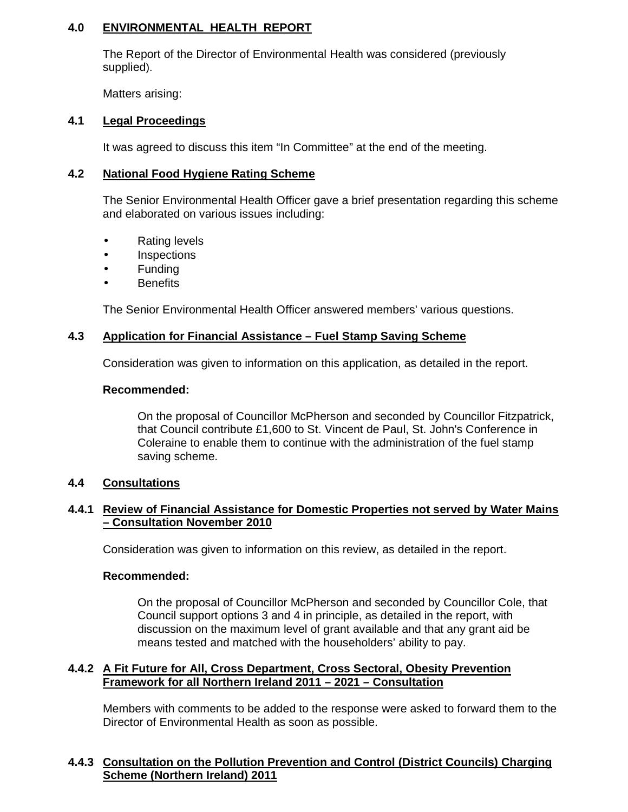# **4.0 ENVIRONMENTAL HEALTH REPORT**

 The Report of the Director of Environmental Health was considered (previously supplied).

Matters arising:

## **4.1 Legal Proceedings**

It was agreed to discuss this item "In Committee" at the end of the meeting.

### **4.2 National Food Hygiene Rating Scheme**

 The Senior Environmental Health Officer gave a brief presentation regarding this scheme and elaborated on various issues including:

- Rating levels
- Inspections
- **Funding**
- **Benefits**

The Senior Environmental Health Officer answered members' various questions.

#### **4.3 Application for Financial Assistance – Fuel Stamp Saving Scheme**

Consideration was given to information on this application, as detailed in the report.

#### **Recommended:**

 On the proposal of Councillor McPherson and seconded by Councillor Fitzpatrick, that Council contribute £1,600 to St. Vincent de Paul, St. John's Conference in Coleraine to enable them to continue with the administration of the fuel stamp saving scheme.

## **4.4 Consultations**

### **4.4.1 Review of Financial Assistance for Domestic Properties not served by Water Mains – Consultation November 2010**

Consideration was given to information on this review, as detailed in the report.

#### **Recommended:**

On the proposal of Councillor McPherson and seconded by Councillor Cole, that Council support options 3 and 4 in principle, as detailed in the report, with discussion on the maximum level of grant available and that any grant aid be means tested and matched with the householders' ability to pay.

### **4.4.2 A Fit Future for All, Cross Department, Cross Sectoral, Obesity Prevention Framework for all Northern Ireland 2011 – 2021 – Consultation**

Members with comments to be added to the response were asked to forward them to the Director of Environmental Health as soon as possible.

# **4.4.3 Consultation on the Pollution Prevention and Control (District Councils) Charging Scheme (Northern Ireland) 2011**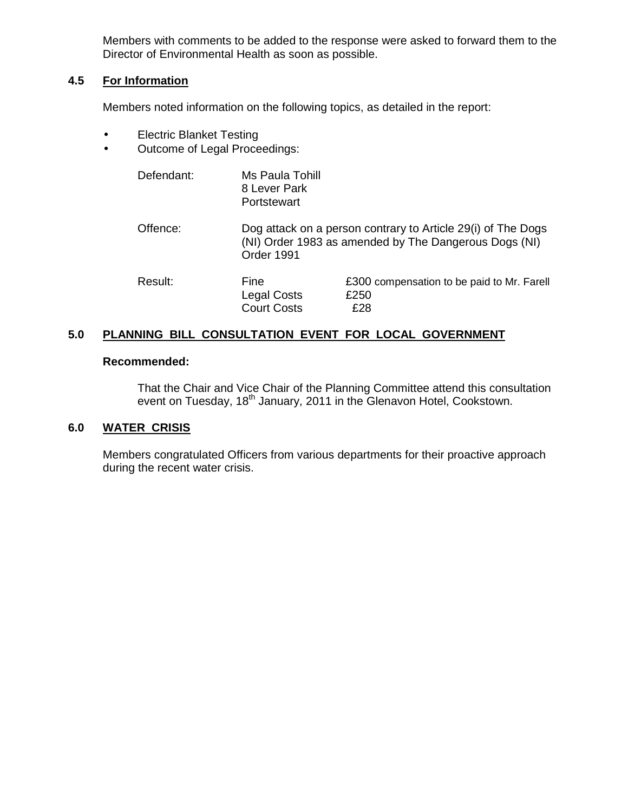Members with comments to be added to the response were asked to forward them to the Director of Environmental Health as soon as possible.

### **4.5 For Information**

Members noted information on the following topics, as detailed in the report:

- Electric Blanket Testing
- Outcome of Legal Proceedings:

| Defendant: | Ms Paula Tohill<br>8 Lever Park<br>Portstewart |                                                                                                                       |
|------------|------------------------------------------------|-----------------------------------------------------------------------------------------------------------------------|
| Offence:   | Order 1991                                     | Dog attack on a person contrary to Article 29(i) of The Dogs<br>(NI) Order 1983 as amended by The Dangerous Dogs (NI) |
| Result:    | Fine<br>Legal Costs<br><b>Court Costs</b>      | £300 compensation to be paid to Mr. Farell<br>£250<br>£28                                                             |

## **5.0 PLANNING BILL CONSULTATION EVENT FOR LOCAL GOVERNMENT**

#### **Recommended:**

That the Chair and Vice Chair of the Planning Committee attend this consultation event on Tuesday, 18<sup>th</sup> January, 2011 in the Glenavon Hotel, Cookstown.

## **6.0 WATER CRISIS**

 Members congratulated Officers from various departments for their proactive approach during the recent water crisis.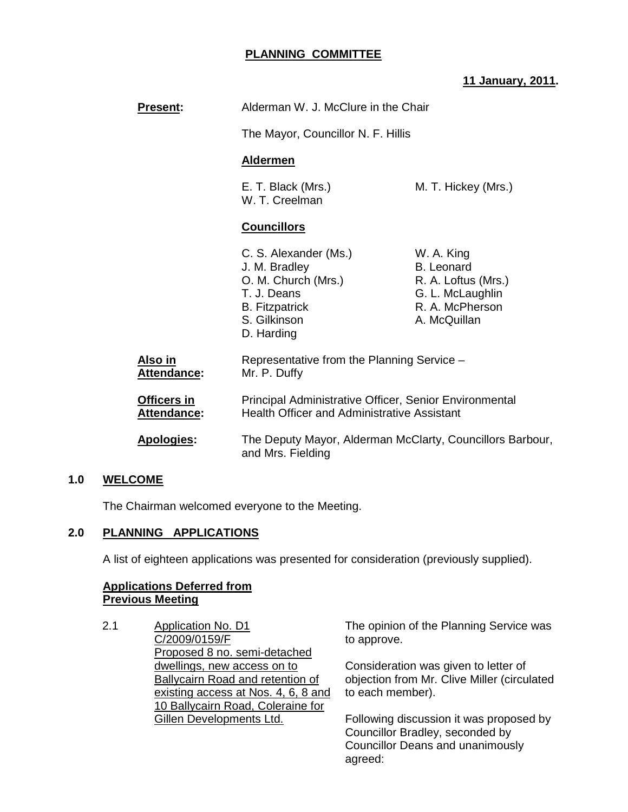# **PLANNING COMMITTEE**

# **11 January, 2011.**

| <b>Present:</b>                          | Alderman W. J. McClure in the Chair<br>The Mayor, Councillor N. F. Hillis<br><b>Aldermen</b>                                        |                                                                                                               |  |
|------------------------------------------|-------------------------------------------------------------------------------------------------------------------------------------|---------------------------------------------------------------------------------------------------------------|--|
|                                          |                                                                                                                                     |                                                                                                               |  |
|                                          |                                                                                                                                     |                                                                                                               |  |
|                                          | E. T. Black (Mrs.)<br>M. T. Hickey (Mrs.)<br>W. T. Creelman                                                                         |                                                                                                               |  |
|                                          | <b>Councillors</b>                                                                                                                  |                                                                                                               |  |
|                                          | C. S. Alexander (Ms.)<br>J. M. Bradley<br>O. M. Church (Mrs.)<br>T. J. Deans<br><b>B.</b> Fitzpatrick<br>S. Gilkinson<br>D. Harding | W. A. King<br><b>B.</b> Leonard<br>R. A. Loftus (Mrs.)<br>G. L. McLaughlin<br>R. A. McPherson<br>A. McQuillan |  |
| Also in<br><b>Attendance:</b>            | Representative from the Planning Service -<br>Mr. P. Duffy                                                                          |                                                                                                               |  |
| <b>Officers in</b><br><b>Attendance:</b> | Principal Administrative Officer, Senior Environmental<br><b>Health Officer and Administrative Assistant</b>                        |                                                                                                               |  |
| <b>Apologies:</b>                        | The Deputy Mayor, Alderman McClarty, Councillors Barbour,<br>and Mrs. Fielding                                                      |                                                                                                               |  |

## **1.0 WELCOME**

The Chairman welcomed everyone to the Meeting.

# **2.0 PLANNING APPLICATIONS**

A list of eighteen applications was presented for consideration (previously supplied).

# **Applications Deferred from Previous Meeting**

2.1 Application No. D1 C/2009/0159/F Proposed 8 no. semi-detached dwellings, new access on to Ballycairn Road and retention of existing access at Nos. 4, 6, 8 and 10 Ballycairn Road, Coleraine for Gillen Developments Ltd.

The opinion of the Planning Service was to approve.

Consideration was given to letter of objection from Mr. Clive Miller (circulated to each member).

Following discussion it was proposed by Councillor Bradley, seconded by Councillor Deans and unanimously agreed: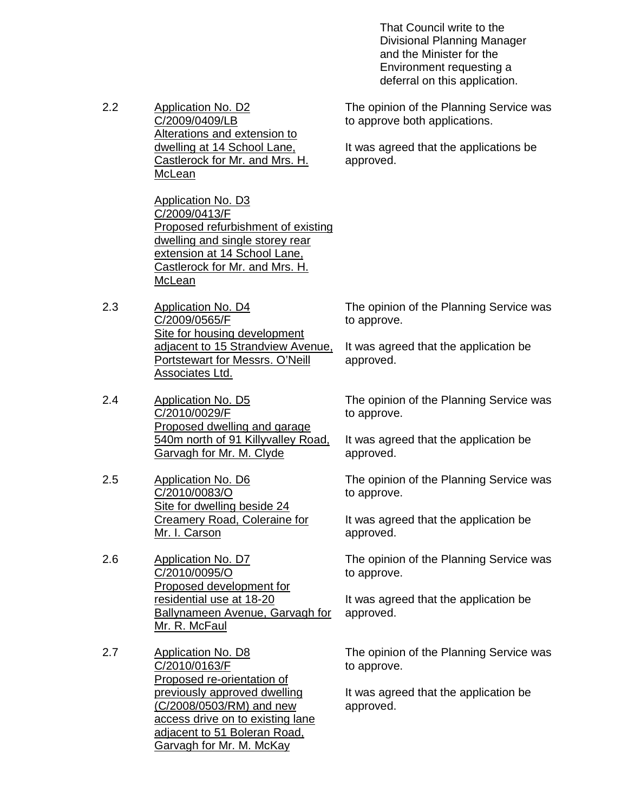That Council write to the Divisional Planning Manager and the Minister for the Environment requesting a deferral on this application.

2.2 Application No. D2 C/2009/0409/LB Alterations and extension to dwelling at 14 School Lane, Castlerock for Mr. and Mrs. H. **McLean** 

> Application No. D3 C/2009/0413/F Proposed refurbishment of existing dwelling and single storey rear extension at 14 School Lane, Castlerock for Mr. and Mrs. H. McLean

- 2.3 Application No. D4 C/2009/0565/F Site for housing development adjacent to 15 Strandview Avenue, Portstewart for Messrs. O'Neill Associates Ltd.
- 2.4 Application No. D5 C/2010/0029/F Proposed dwelling and garage 540m north of 91 Killyvalley Road, Garvagh for Mr. M. Clyde
- 2.5 Application No. D6 C/2010/0083/O Site for dwelling beside 24 Creamery Road, Coleraine for Mr. I. Carson
- 2.6 Application No. D7 C/2010/0095/O Proposed development for residential use at 18-20 Ballynameen Avenue, Garvagh for Mr. R. McFaul
- 2.7 Application No. D8 C/2010/0163/F Proposed re-orientation of previously approved dwelling (C/2008/0503/RM) and new access drive on to existing lane adjacent to 51 Boleran Road, Garvagh for Mr. M. McKay

The opinion of the Planning Service was to approve both applications.

It was agreed that the applications be approved.

The opinion of the Planning Service was to approve.

It was agreed that the application be approved.

The opinion of the Planning Service was to approve.

It was agreed that the application be approved.

The opinion of the Planning Service was to approve.

It was agreed that the application be approved.

The opinion of the Planning Service was to approve.

It was agreed that the application be approved.

The opinion of the Planning Service was to approve.

It was agreed that the application be approved.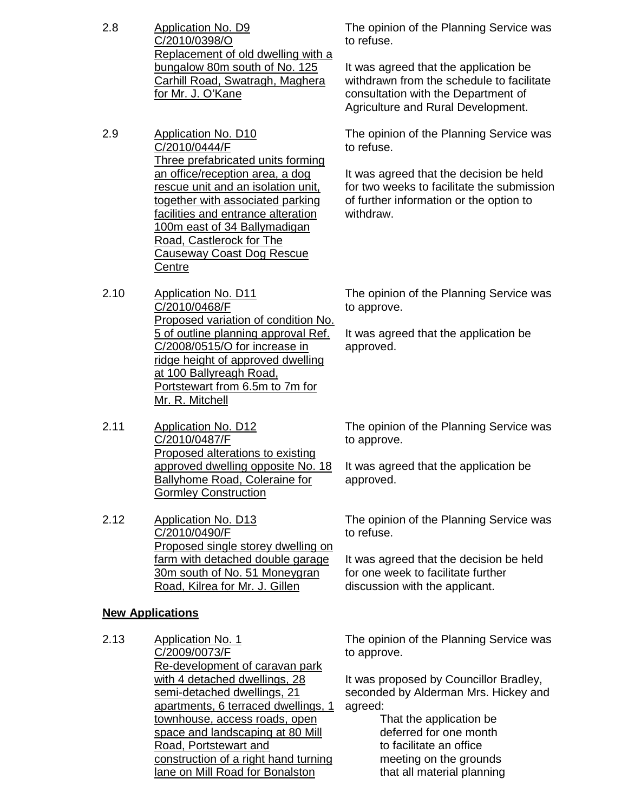- 2.8 Application No. D9 C/2010/0398/O Replacement of old dwelling with a bungalow 80m south of No. 125 Carhill Road, Swatragh, Maghera for Mr. J. O'Kane
- 2.9 Application No. D10 C/2010/0444/F Three prefabricated units forming an office/reception area, a dog rescue unit and an isolation unit, together with associated parking facilities and entrance alteration 100m east of 34 Ballymadigan Road, Castlerock for The Causeway Coast Dog Rescue **Centre**
- 2.10 Application No. D11 C/2010/0468/F Proposed variation of condition No. 5 of outline planning approval Ref. C/2008/0515/O for increase in ridge height of approved dwelling at 100 Ballyreagh Road, Portstewart from 6.5m to 7m for Mr. R. Mitchell
- 2.11 Application No. D12 C/2010/0487/F Proposed alterations to existing approved dwelling opposite No. 18 Ballyhome Road, Coleraine for Gormley Construction
- 2.12 Application No. D13 C/2010/0490/F Proposed single storey dwelling on farm with detached double garage 30m south of No. 51 Moneygran Road, Kilrea for Mr. J. Gillen

#### **New Applications**

2.13 Application No. 1 C/2009/0073/F Re-development of caravan park with 4 detached dwellings, 28 semi-detached dwellings, 21 apartments, 6 terraced dwellings, 1 townhouse, access roads, open space and landscaping at 80 Mill Road, Portstewart and construction of a right hand turning lane on Mill Road for Bonalston

The opinion of the Planning Service was to refuse.

It was agreed that the application be withdrawn from the schedule to facilitate consultation with the Department of Agriculture and Rural Development.

The opinion of the Planning Service was to refuse.

It was agreed that the decision be held for two weeks to facilitate the submission of further information or the option to withdraw.

The opinion of the Planning Service was to approve.

It was agreed that the application be approved.

The opinion of the Planning Service was to approve.

It was agreed that the application be approved.

The opinion of the Planning Service was to refuse.

It was agreed that the decision be held for one week to facilitate further discussion with the applicant.

The opinion of the Planning Service was to approve.

It was proposed by Councillor Bradley, seconded by Alderman Mrs. Hickey and agreed:

> That the application be deferred for one month to facilitate an office meeting on the grounds that all material planning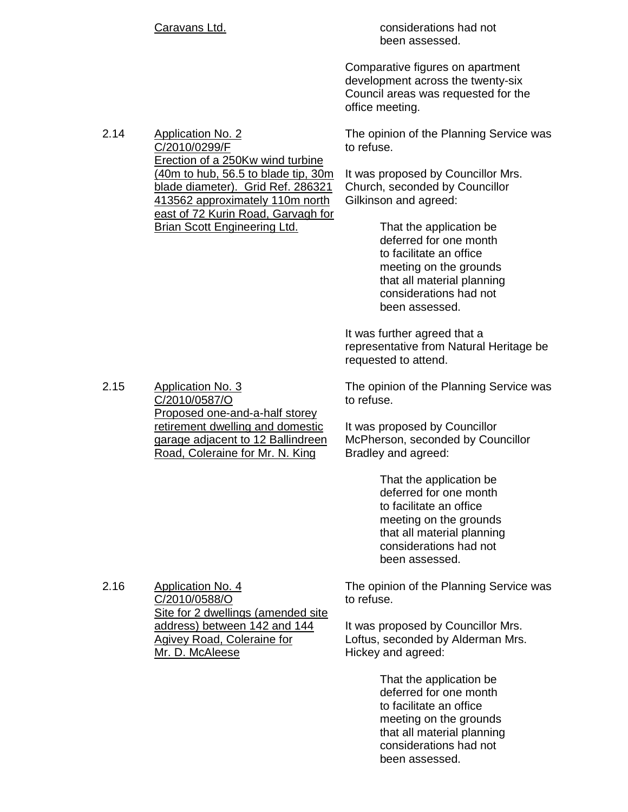|      | <b>Caravans Ltd.</b>                                                                                                                            | considerations had not<br>been assessed.                                                                                                                                         |  |
|------|-------------------------------------------------------------------------------------------------------------------------------------------------|----------------------------------------------------------------------------------------------------------------------------------------------------------------------------------|--|
|      |                                                                                                                                                 | Comparative figures on apartment<br>development across the twenty-six<br>Council areas was requested for the<br>office meeting.                                                  |  |
| 2.14 | <b>Application No. 2</b><br>C/2010/0299/F                                                                                                       | The opinion of the Planning Service was<br>to refuse.                                                                                                                            |  |
|      | Erection of a 250Kw wind turbine<br>(40m to hub, 56.5 to blade tip, 30m<br>blade diameter). Grid Ref. 286321<br>413562 approximately 110m north | It was proposed by Councillor Mrs.<br>Church, seconded by Councillor<br>Gilkinson and agreed:                                                                                    |  |
|      | east of 72 Kurin Road, Garvagh for<br><b>Brian Scott Engineering Ltd.</b>                                                                       | That the application be<br>deferred for one month<br>to facilitate an office<br>meeting on the grounds<br>that all material planning<br>considerations had not<br>been assessed. |  |
|      |                                                                                                                                                 | It was further agreed that a<br>representative from Natural Heritage be<br>requested to attend.                                                                                  |  |
| 2.15 | <b>Application No. 3</b><br>C/2010/0587/O                                                                                                       | The opinion of the Planning Service was<br>to refuse.                                                                                                                            |  |
|      | Proposed one-and-a-half storey<br>retirement dwelling and domestic<br>garage adjacent to 12 Ballindreen<br>Road, Coleraine for Mr. N. King      | It was proposed by Councillor<br>McPherson, seconded by Councillor<br>Bradley and agreed:                                                                                        |  |
|      |                                                                                                                                                 | That the application be<br>deferred for one month<br>to facilitate an office<br>meeting on the grounds<br>that all material planning<br>considerations had not<br>been assessed. |  |
| 2.16 | Application No. 4<br>C/2010/0588/O                                                                                                              | The opinion of the Planning Service was<br>to refuse.                                                                                                                            |  |
|      | Site for 2 dwellings (amended site<br>address) between 142 and 144<br><b>Agivey Road, Coleraine for</b><br>Mr. D. McAleese                      | It was proposed by Councillor Mrs.<br>Loftus, seconded by Alderman Mrs.<br>Hickey and agreed:                                                                                    |  |
|      |                                                                                                                                                 | That the application be<br>deferred for one month<br>to facilitate an office<br>meeting on the grounds<br>that all material planning<br>considerations had not                   |  |

been assessed.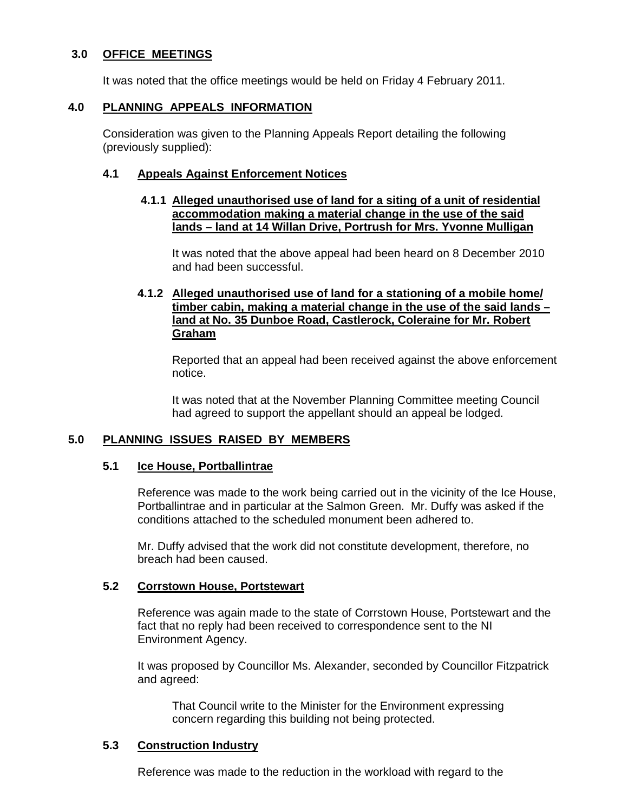# **3.0 OFFICE MEETINGS**

It was noted that the office meetings would be held on Friday 4 February 2011.

# **4.0 PLANNING APPEALS INFORMATION**

 Consideration was given to the Planning Appeals Report detailing the following (previously supplied):

## **4.1 Appeals Against Enforcement Notices**

### **4.1.1 Alleged unauthorised use of land for a siting of a unit of residential accommodation making a material change in the use of the said lands – land at 14 Willan Drive, Portrush for Mrs. Yvonne Mulligan**

 It was noted that the above appeal had been heard on 8 December 2010 and had been successful.

# **4.1.2 Alleged unauthorised use of land for a stationing of a mobile home/ timber cabin, making a material change in the use of the said lands – land at No. 35 Dunboe Road, Castlerock, Coleraine for Mr. Robert Graham**

 Reported that an appeal had been received against the above enforcement notice.

 It was noted that at the November Planning Committee meeting Council had agreed to support the appellant should an appeal be lodged.

# **5.0 PLANNING ISSUES RAISED BY MEMBERS**

## **5.1 Ice House, Portballintrae**

 Reference was made to the work being carried out in the vicinity of the Ice House, Portballintrae and in particular at the Salmon Green. Mr. Duffy was asked if the conditions attached to the scheduled monument been adhered to.

 Mr. Duffy advised that the work did not constitute development, therefore, no breach had been caused.

## **5.2 Corrstown House, Portstewart**

 Reference was again made to the state of Corrstown House, Portstewart and the fact that no reply had been received to correspondence sent to the NI Environment Agency.

 It was proposed by Councillor Ms. Alexander, seconded by Councillor Fitzpatrick and agreed:

 That Council write to the Minister for the Environment expressing concern regarding this building not being protected.

## **5.3 Construction Industry**

Reference was made to the reduction in the workload with regard to the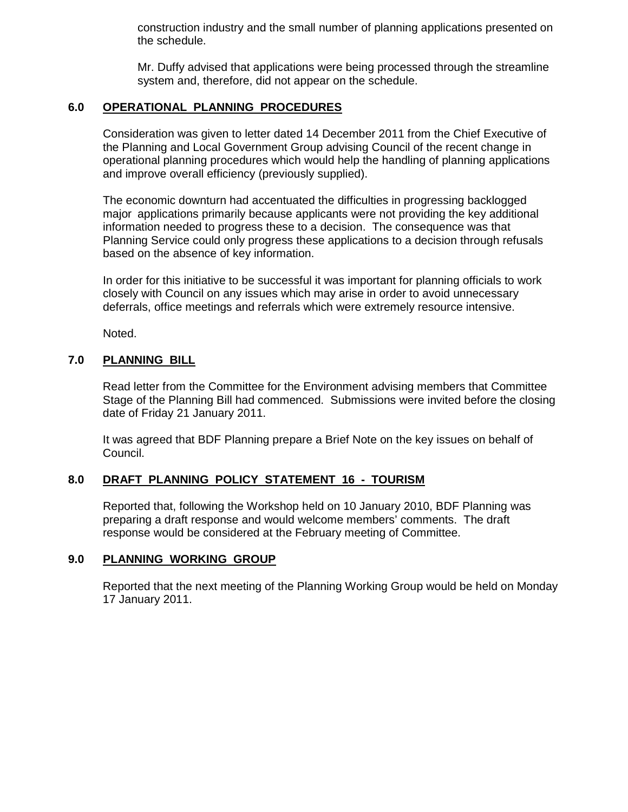construction industry and the small number of planning applications presented on the schedule.

 Mr. Duffy advised that applications were being processed through the streamline system and, therefore, did not appear on the schedule.

# **6.0 OPERATIONAL PLANNING PROCEDURES**

Consideration was given to letter dated 14 December 2011 from the Chief Executive of the Planning and Local Government Group advising Council of the recent change in operational planning procedures which would help the handling of planning applications and improve overall efficiency (previously supplied).

 The economic downturn had accentuated the difficulties in progressing backlogged major applications primarily because applicants were not providing the key additional information needed to progress these to a decision. The consequence was that Planning Service could only progress these applications to a decision through refusals based on the absence of key information.

 In order for this initiative to be successful it was important for planning officials to work closely with Council on any issues which may arise in order to avoid unnecessary deferrals, office meetings and referrals which were extremely resource intensive.

Noted.

# **7.0 PLANNING BILL**

 Read letter from the Committee for the Environment advising members that Committee Stage of the Planning Bill had commenced. Submissions were invited before the closing date of Friday 21 January 2011.

 It was agreed that BDF Planning prepare a Brief Note on the key issues on behalf of Council.

## **8.0 DRAFT PLANNING POLICY STATEMENT 16 - TOURISM**

Reported that, following the Workshop held on 10 January 2010, BDF Planning was preparing a draft response and would welcome members' comments. The draft response would be considered at the February meeting of Committee.

## **9.0 PLANNING WORKING GROUP**

 Reported that the next meeting of the Planning Working Group would be held on Monday 17 January 2011.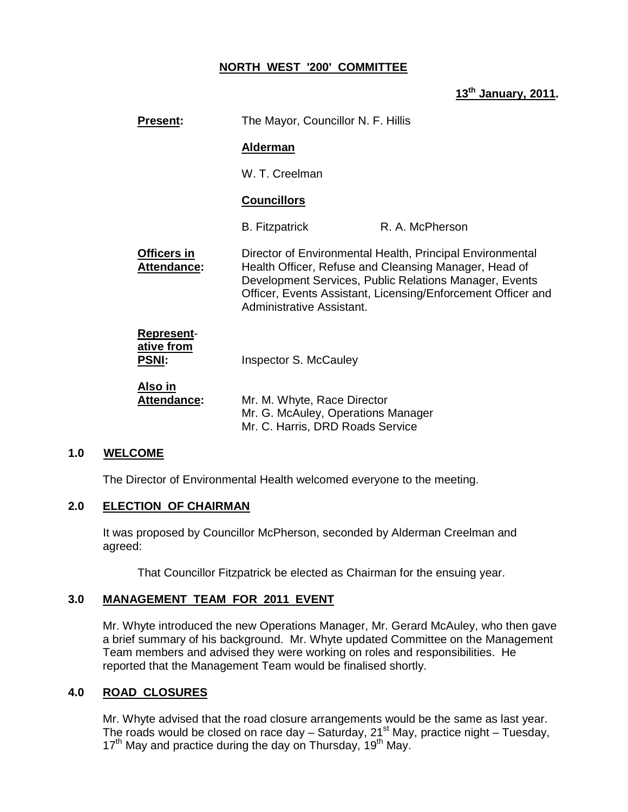# **NORTH WEST '200' COMMITTEE**

**13th January, 2011.** 

|              | <b>Present:</b>                   | The Mayor, Councillor N. F. Hillis                                                                                                                                                                                                                                        |                 |
|--------------|-----------------------------------|---------------------------------------------------------------------------------------------------------------------------------------------------------------------------------------------------------------------------------------------------------------------------|-----------------|
|              |                                   | <b>Alderman</b>                                                                                                                                                                                                                                                           |                 |
|              |                                   | W. T. Creelman                                                                                                                                                                                                                                                            |                 |
|              |                                   | <b>Councillors</b>                                                                                                                                                                                                                                                        |                 |
|              |                                   | <b>B.</b> Fitzpatrick                                                                                                                                                                                                                                                     | R. A. McPherson |
|              | Officers in<br><b>Attendance:</b> | Director of Environmental Health, Principal Environmental<br>Health Officer, Refuse and Cleansing Manager, Head of<br>Development Services, Public Relations Manager, Events<br>Officer, Events Assistant, Licensing/Enforcement Officer and<br>Administrative Assistant. |                 |
| <b>PSNI:</b> | <b>Represent-</b><br>ative from   | Inspector S. McCauley                                                                                                                                                                                                                                                     |                 |
| Also in      | Attendance:                       | Mr. M. Whyte, Race Director<br>Mr. G. McAuley, Operations Manager<br>Mr. C. Harris, DRD Roads Service                                                                                                                                                                     |                 |

## **1.0 WELCOME**

The Director of Environmental Health welcomed everyone to the meeting.

#### **2.0 ELECTION OF CHAIRMAN**

 It was proposed by Councillor McPherson, seconded by Alderman Creelman and agreed:

That Councillor Fitzpatrick be elected as Chairman for the ensuing year.

# **3.0 MANAGEMENT TEAM FOR 2011 EVENT**

 Mr. Whyte introduced the new Operations Manager, Mr. Gerard McAuley, who then gave a brief summary of his background. Mr. Whyte updated Committee on the Management Team members and advised they were working on roles and responsibilities. He reported that the Management Team would be finalised shortly.

## **4.0 ROAD CLOSURES**

 Mr. Whyte advised that the road closure arrangements would be the same as last year. The roads would be closed on race day  $-$  Saturday, 21<sup>st</sup> May, practice night  $-$  Tuesday, 17<sup>th</sup> May and practice during the day on Thursday, 19<sup>th</sup> May.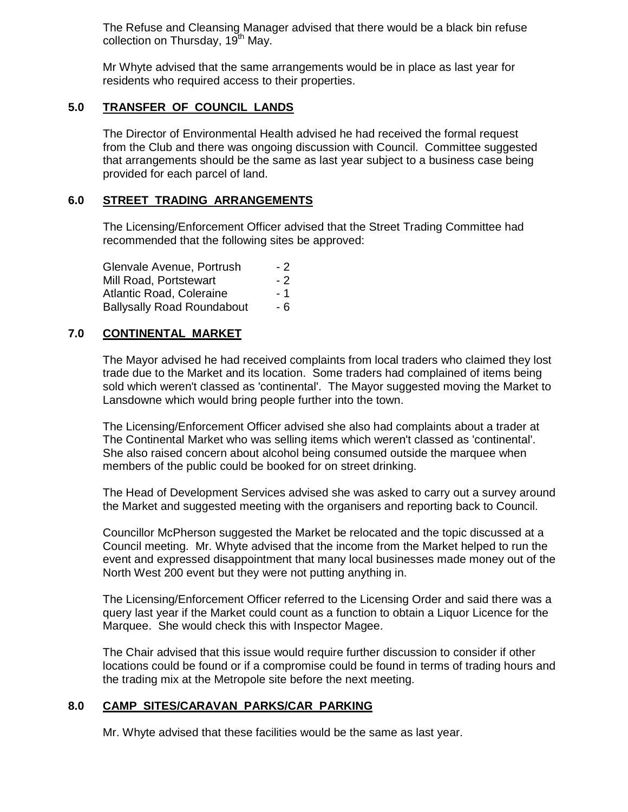The Refuse and Cleansing Manager advised that there would be a black bin refuse collection on Thursday, 19<sup>th</sup> May.

 Mr Whyte advised that the same arrangements would be in place as last year for residents who required access to their properties.

# **5.0 TRANSFER OF COUNCIL LANDS**

 The Director of Environmental Health advised he had received the formal request from the Club and there was ongoing discussion with Council. Committee suggested that arrangements should be the same as last year subject to a business case being provided for each parcel of land.

## **6.0 STREET TRADING ARRANGEMENTS**

 The Licensing/Enforcement Officer advised that the Street Trading Committee had recommended that the following sites be approved:

Glenvale Avenue, Portrush - 2 Mill Road, Portstewart - 2 Atlantic Road, Coleraine - 1 Ballysally Road Roundabout - 6

## **7.0 CONTINENTAL MARKET**

 The Mayor advised he had received complaints from local traders who claimed they lost trade due to the Market and its location. Some traders had complained of items being sold which weren't classed as 'continental'. The Mayor suggested moving the Market to Lansdowne which would bring people further into the town.

 The Licensing/Enforcement Officer advised she also had complaints about a trader at The Continental Market who was selling items which weren't classed as 'continental'. She also raised concern about alcohol being consumed outside the marquee when members of the public could be booked for on street drinking.

 The Head of Development Services advised she was asked to carry out a survey around the Market and suggested meeting with the organisers and reporting back to Council.

 Councillor McPherson suggested the Market be relocated and the topic discussed at a Council meeting. Mr. Whyte advised that the income from the Market helped to run the event and expressed disappointment that many local businesses made money out of the North West 200 event but they were not putting anything in.

 The Licensing/Enforcement Officer referred to the Licensing Order and said there was a query last year if the Market could count as a function to obtain a Liquor Licence for the Marquee. She would check this with Inspector Magee.

 The Chair advised that this issue would require further discussion to consider if other locations could be found or if a compromise could be found in terms of trading hours and the trading mix at the Metropole site before the next meeting.

## **8.0 CAMP SITES/CARAVAN PARKS/CAR PARKING**

Mr. Whyte advised that these facilities would be the same as last year.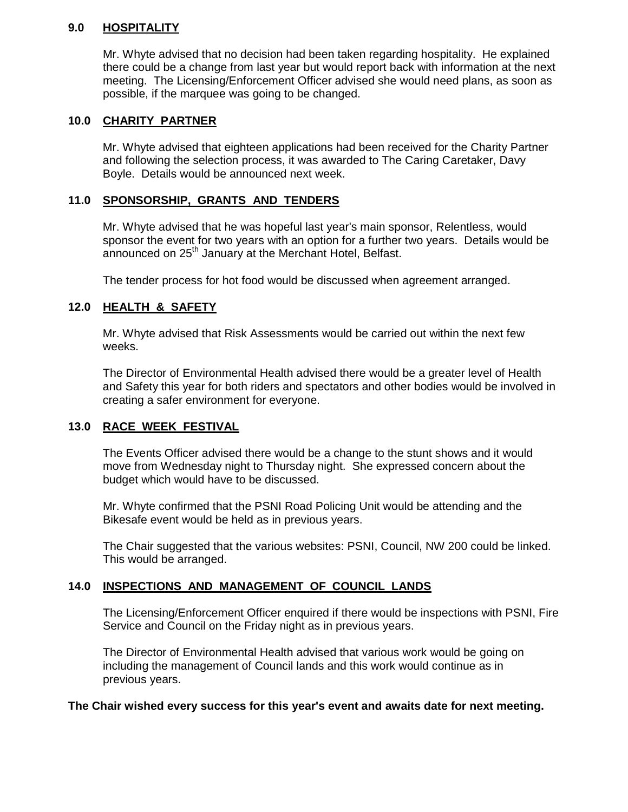# **9.0 HOSPITALITY**

 Mr. Whyte advised that no decision had been taken regarding hospitality. He explained there could be a change from last year but would report back with information at the next meeting. The Licensing/Enforcement Officer advised she would need plans, as soon as possible, if the marquee was going to be changed.

# **10.0 CHARITY PARTNER**

 Mr. Whyte advised that eighteen applications had been received for the Charity Partner and following the selection process, it was awarded to The Caring Caretaker, Davy Boyle. Details would be announced next week.

# **11.0 SPONSORSHIP, GRANTS AND TENDERS**

 Mr. Whyte advised that he was hopeful last year's main sponsor, Relentless, would sponsor the event for two years with an option for a further two years. Details would be announced on 25<sup>th</sup> January at the Merchant Hotel, Belfast.

The tender process for hot food would be discussed when agreement arranged.

# **12.0 HEALTH & SAFETY**

 Mr. Whyte advised that Risk Assessments would be carried out within the next few weeks.

 The Director of Environmental Health advised there would be a greater level of Health and Safety this year for both riders and spectators and other bodies would be involved in creating a safer environment for everyone.

# **13.0 RACE WEEK FESTIVAL**

The Events Officer advised there would be a change to the stunt shows and it would move from Wednesday night to Thursday night. She expressed concern about the budget which would have to be discussed.

 Mr. Whyte confirmed that the PSNI Road Policing Unit would be attending and the Bikesafe event would be held as in previous years.

 The Chair suggested that the various websites: PSNI, Council, NW 200 could be linked. This would be arranged.

# **14.0 INSPECTIONS AND MANAGEMENT OF COUNCIL LANDS**

 The Licensing/Enforcement Officer enquired if there would be inspections with PSNI, Fire Service and Council on the Friday night as in previous years.

The Director of Environmental Health advised that various work would be going on including the management of Council lands and this work would continue as in previous years.

## **The Chair wished every success for this year's event and awaits date for next meeting.**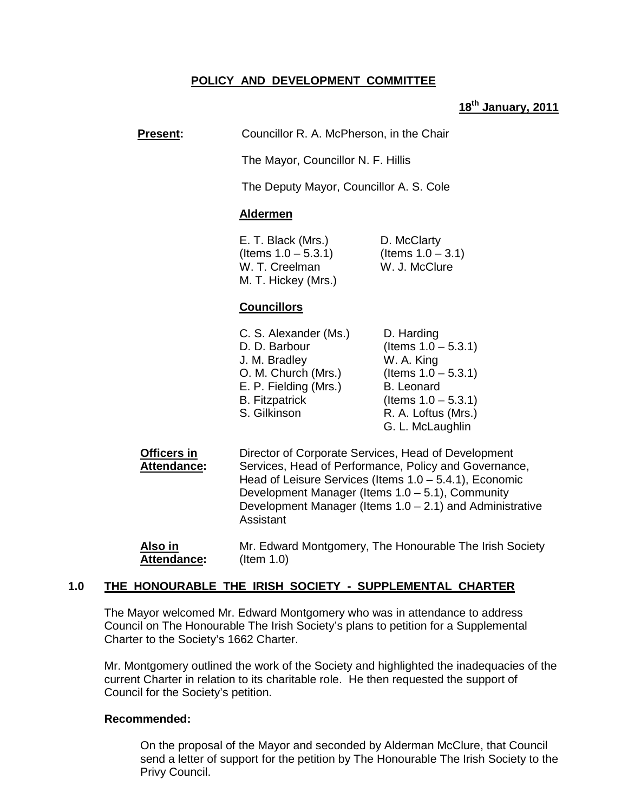# **POLICY AND DEVELOPMENT COMMITTEE**

# **18th January, 2011**

# **Present:** Councillor R. A. McPherson, in the Chair

The Mayor, Councillor N. F. Hillis

The Deputy Mayor, Councillor A. S. Cole

#### **Aldermen**

E. T. Black (Mrs.) D. McClarty  $($ ltems  $1.0 - 5.3.1)$  (Items  $1.0 - 3.1)$ W. T. Creelman W. J. McClure M. T. Hickey (Mrs.)

#### **Councillors**

| D. Harding             |
|------------------------|
| (Items $1.0 - 5.3.1$ ) |
| W. A. King             |
| (Items $1.0 - 5.3.1$ ) |
| <b>B.</b> Leonard      |
| (Items $1.0 - 5.3.1$ ) |
| R. A. Loftus (Mrs.)    |
| G. L. McLaughlin       |
|                        |

**Officers in Exercity Director of Corporate Services, Head of Development Attendance:** Services, Head of Performance, Policy and Governance, Head of Leisure Services (Items 1.0 – 5.4.1), Economic Development Manager (Items 1.0 – 5.1), Community Development Manager (Items  $1.0 - 2.1$ ) and Administrative **Assistant** 

#### **1.0 THE HONOURABLE THE IRISH SOCIETY - SUPPLEMENTAL CHARTER**

 The Mayor welcomed Mr. Edward Montgomery who was in attendance to address Council on The Honourable The Irish Society's plans to petition for a Supplemental Charter to the Society's 1662 Charter.

Mr. Montgomery outlined the work of the Society and highlighted the inadequacies of the current Charter in relation to its charitable role. He then requested the support of Council for the Society's petition.

#### **Recommended:**

On the proposal of the Mayor and seconded by Alderman McClure, that Council send a letter of support for the petition by The Honourable The Irish Society to the Privy Council.

**Also in** Mr. Edward Montgomery, The Honourable The Irish Society **Attendance:** (Item 1.0)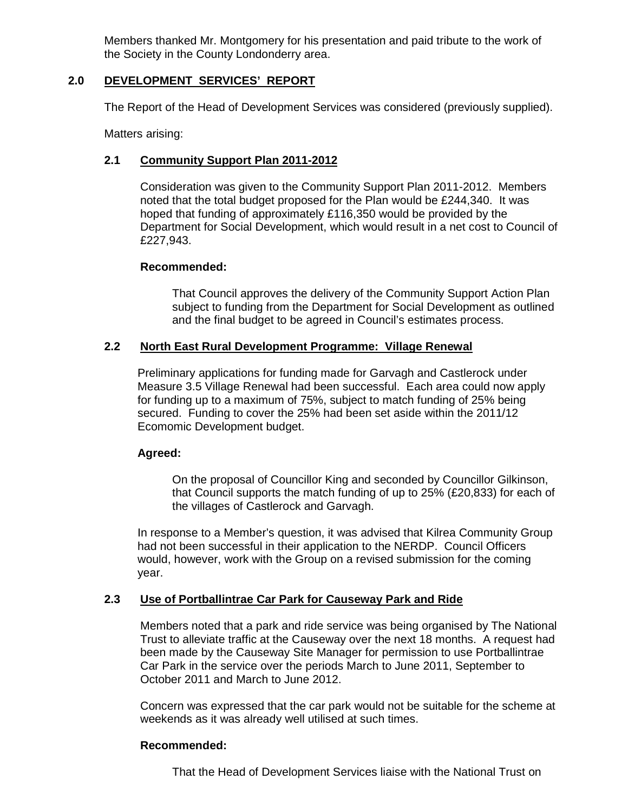Members thanked Mr. Montgomery for his presentation and paid tribute to the work of the Society in the County Londonderry area.

# **2.0 DEVELOPMENT SERVICES' REPORT**

The Report of the Head of Development Services was considered (previously supplied).

Matters arising:

# **2.1 Community Support Plan 2011-2012**

 Consideration was given to the Community Support Plan 2011-2012. Members noted that the total budget proposed for the Plan would be £244,340. It was hoped that funding of approximately £116,350 would be provided by the Department for Social Development, which would result in a net cost to Council of £227,943.

## **Recommended:**

That Council approves the delivery of the Community Support Action Plan subject to funding from the Department for Social Development as outlined and the final budget to be agreed in Council's estimates process.

## **2.2 North East Rural Development Programme: Village Renewal**

Preliminary applications for funding made for Garvagh and Castlerock under Measure 3.5 Village Renewal had been successful. Each area could now apply for funding up to a maximum of 75%, subject to match funding of 25% being secured. Funding to cover the 25% had been set aside within the 2011/12 Ecomomic Development budget.

## **Agreed:**

On the proposal of Councillor King and seconded by Councillor Gilkinson, that Council supports the match funding of up to 25% (£20,833) for each of the villages of Castlerock and Garvagh.

In response to a Member's question, it was advised that Kilrea Community Group had not been successful in their application to the NERDP. Council Officers would, however, work with the Group on a revised submission for the coming year.

## **2.3 Use of Portballintrae Car Park for Causeway Park and Ride**

Members noted that a park and ride service was being organised by The National Trust to alleviate traffic at the Causeway over the next 18 months. A request had been made by the Causeway Site Manager for permission to use Portballintrae Car Park in the service over the periods March to June 2011, September to October 2011 and March to June 2012.

 Concern was expressed that the car park would not be suitable for the scheme at weekends as it was already well utilised at such times.

## **Recommended:**

That the Head of Development Services liaise with the National Trust on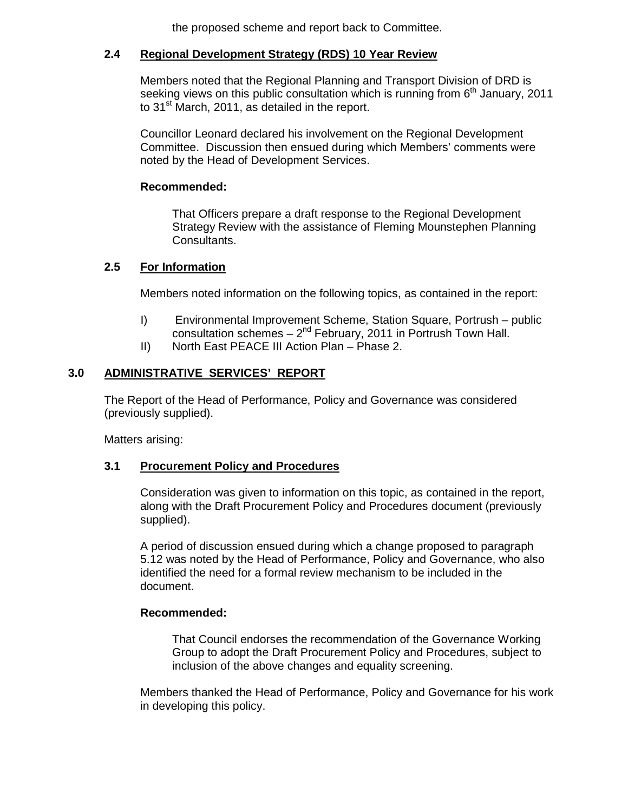the proposed scheme and report back to Committee.

# **2.4 Regional Development Strategy (RDS) 10 Year Review**

Members noted that the Regional Planning and Transport Division of DRD is seeking views on this public consultation which is running from  $6<sup>th</sup>$  January, 2011 to 31<sup>st</sup> March, 2011, as detailed in the report.

 Councillor Leonard declared his involvement on the Regional Development Committee. Discussion then ensued during which Members' comments were noted by the Head of Development Services.

# **Recommended:**

That Officers prepare a draft response to the Regional Development Strategy Review with the assistance of Fleming Mounstephen Planning Consultants.

# **2.5 For Information**

Members noted information on the following topics, as contained in the report:

- I) Environmental Improvement Scheme, Station Square, Portrush public consultation schemes  $-2^{nd}$  February, 2011 in Portrush Town Hall.
- II) North East PEACE III Action Plan Phase 2.

# **3.0 ADMINISTRATIVE SERVICES' REPORT**

The Report of the Head of Performance, Policy and Governance was considered (previously supplied).

Matters arising:

## **3.1 Procurement Policy and Procedures**

 Consideration was given to information on this topic, as contained in the report, along with the Draft Procurement Policy and Procedures document (previously supplied).

 A period of discussion ensued during which a change proposed to paragraph 5.12 was noted by the Head of Performance, Policy and Governance, who also identified the need for a formal review mechanism to be included in the document.

## **Recommended:**

That Council endorses the recommendation of the Governance Working Group to adopt the Draft Procurement Policy and Procedures, subject to inclusion of the above changes and equality screening.

 Members thanked the Head of Performance, Policy and Governance for his work in developing this policy.